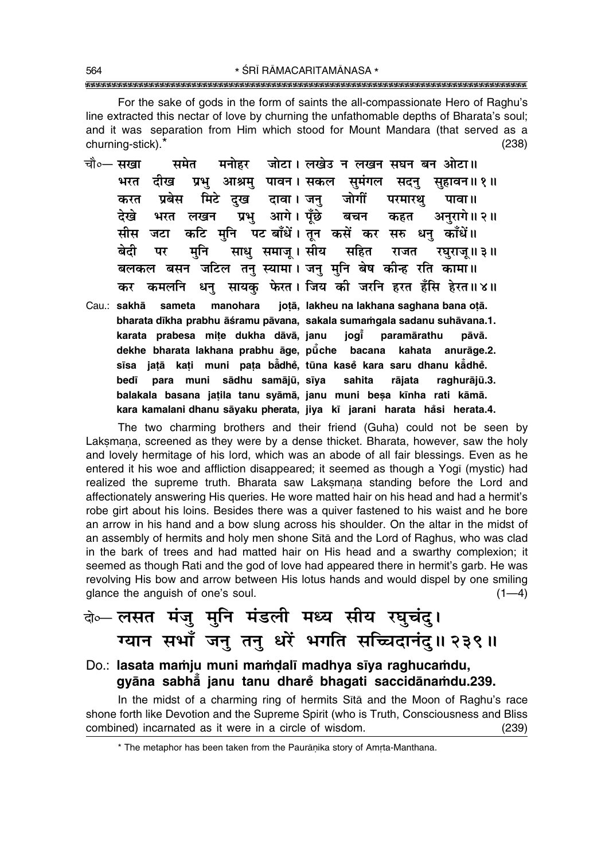\* ŚRĪ RĀMACARITAMĀNASA \* 

For the sake of gods in the form of saints the all-compassionate Hero of Raghu's line extracted this nectar of love by churning the unfathomable depths of Bharata's soul; and it was separation from Him which stood for Mount Mandara (that served as a churning-stick).\*  $(238)$ 

- जोटा। लखेउ न लखन सघन बन ओटा॥ चौ०— **सखा** समेत मनोहर प्रभ आश्रम पावन।सकल समंगल भरत दीख सदन सहावन॥१॥ मिटे दुख दावा। जन् जोगीं करत प्रबेस परमारथ पावा ॥ प्रभ आगे। पँछे देखे बचन कहत अनरागे॥२॥ भरत लखन कटि मुनि पटबाँधें। तून कसें कर सरु धनु काँधें॥ जटा मीस साधु समाजु। सीय सहित मनि बेटी पर राजत रघराजु ॥ ३ ॥ बलकल बसन जटिल तनु स्यामा। जनु मुनि बेष कीन्ह रति कामा॥ कर कमलनि धन सायक फेरत। जिय की जरनि हरत हँसि हेरत॥४॥
- jotā, lakheu na lakhana saghana bana otā. Cau.: sakhā sameta manohara bharata dīkha prabhu āśramu pāvana, sakala sumamgala sadanu suhāvana.1. karata prabesa mite dukha dāvā, janu jogi̇̃ paramārathu pāvā. dekhe bharata lakhana prabhu āge, pūche bacana kahata anurāge.2. sīsa jatā kati muni pata bādhē, tūna kasē kara saru dhanu kādhē. para muni sādhu samājū, sīya rājata bedī sahita raghurājū.3. balakala basana jatila tanu syāmā, janu muni besa kīnha rati kāmā. kara kamalani dhanu sāyaku pherata, jiya kī jarani harata hāsi herata.4.

The two charming brothers and their friend (Guha) could not be seen by Laksmana, screened as they were by a dense thicket. Bharata, however, saw the holy and lovely hermitage of his lord, which was an abode of all fair blessings. Even as he entered it his woe and affliction disappeared; it seemed as though a Yogi (mystic) had realized the supreme truth. Bharata saw Laksmana standing before the Lord and affectionately answering His queries. He wore matted hair on his head and had a hermit's robe girt about his loins. Besides there was a guiver fastened to his waist and he bore an arrow in his hand and a bow slung across his shoulder. On the altar in the midst of an assembly of hermits and holy men shone Sita and the Lord of Raghus, who was clad in the bark of trees and had matted hair on His head and a swarthy complexion; it seemed as though Rati and the god of love had appeared there in hermit's garb. He was revolving His bow and arrow between His lotus hands and would dispel by one smiling glance the anguish of one's soul.  $(1-4)$ 

# के-लसत मंजु मुनि मंडली मध्य सीय रघुचंद्। ग्यान सभाँ जनु तनु धरें भगति सच्चिदानंदु॥ २३९॥

#### Do.: lasata mamju muni mamdalī madhya sīya raghucamdu, gyāna sabhā janu tanu dhare bhagati saccidānamdu.239.

In the midst of a charming ring of hermits Sita and the Moon of Raghu's race shone forth like Devotion and the Supreme Spirit (who is Truth, Consciousness and Bliss combined) incarnated as it were in a circle of wisdom.  $(239)$ 

<sup>\*</sup> The metaphor has been taken from the Paurāṇika story of Amrta-Manthana.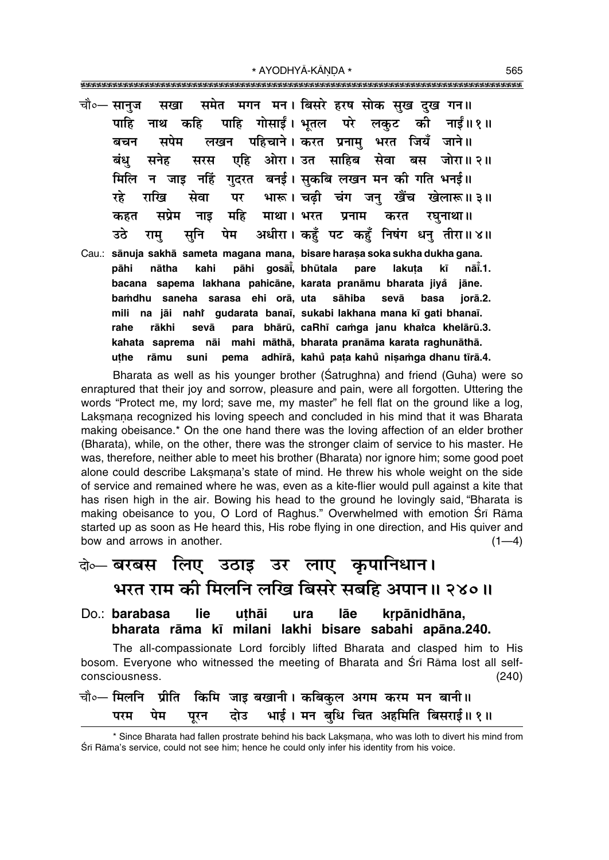\* AYODHYĀ-KĀNDA \* 

|        |  | चौ∘— सानुज सखा समेत मगन मन। बिसरे हरष सोक सुख दुख गन॥                       |  |      |         |        |
|--------|--|-----------------------------------------------------------------------------|--|------|---------|--------|
|        |  | पाहि नाथ कहि पाहि गोसाईं। भूतल परे लकुट की नाईं॥१॥                          |  |      |         |        |
|        |  | बचन सपेम लखन पहिचाने।करत प्रनामु भरत जियँ जाने॥                             |  |      |         |        |
|        |  | बंधु सनेह सरस एहि ओरा।उत साहिब सेवा बस जोरा॥२॥                              |  |      |         |        |
|        |  | मिलि न जाइ नहिं गुदरत बनई। सुकबि लखन मन की गति भनई॥                         |  |      |         |        |
|        |  | रहे राखि सेवा पर भारू। चढ़ी चंग जनु खैंच खेलारू॥३॥                          |  |      |         |        |
|        |  | कहत सप्रेम नाइ महि माथा। भरत प्रनाम करत रघुनाथा॥                            |  |      |         |        |
|        |  | उठे रामु सुनि पेम अधीरा।कहुँ पट कहुँ निषंग धनु तीरा॥४॥                      |  |      |         |        |
|        |  | Cau.: sānuja sakhā sameta magana mana, bisare harasa soka sukha dukha gana. |  |      |         |        |
| pāhi   |  | nātha kahi pāhi gosāi, bhūtala pare lakuta kī                               |  |      |         | nāi.1. |
|        |  | bacana sapema lakhana pahicāne, karata pranāmu bharata jiyå jāne.           |  |      |         |        |
| bamdhu |  | saneha sarasa ehi orā, uta sāhiba sevā                                      |  | basa | jorā.2. |        |
|        |  | mili na jāi nahi gudarata banaī, sukabi lakhana mana kī gati bhanaī.        |  |      |         |        |
| rahe   |  | rākhi sevā para bhārū, caRhī camga janu khaica khelārū.3.                   |  |      |         |        |

Bharata as well as his younger brother (Satrughna) and friend (Guha) were so enraptured that their joy and sorrow, pleasure and pain, were all forgotten. Uttering the words "Protect me, my lord; save me, my master" he fell flat on the ground like a log, Laksmana recognized his loving speech and concluded in his mind that it was Bharata making obeisance.\* On the one hand there was the loving affection of an elder brother (Bharata), while, on the other, there was the stronger claim of service to his master. He was, therefore, neither able to meet his brother (Bharata) nor ignore him; some good poet alone could describe Laksmana's state of mind. He threw his whole weight on the side of service and remained where he was, even as a kite-flier would pull against a kite that has risen high in the air. Bowing his head to the ground he lovingly said, "Bharata is making obeisance to you, O Lord of Raghus." Overwhelmed with emotion Srī Rāma started up as soon as He heard this, His robe flying in one direction, and His quiver and bow and arrows in another.  $(1-4)$ 

kahata saprema nāi mahi māthā, bharata pranāma karata raghunāthā.

pema adhīrā, kahů pata kahů nisamga dhanu tīrā.4.

uthe

rāmu

suni

## बेञ्चरबस लिए उठाइ उर लाए कृपानिधान। भरत राम की मिलनि लखि बिसरे सबहि अपान॥ २४०॥

Do.: barabasa **lie** uthāi ura lāe krpānidhāna, bharata rāma kī milani lakhi bisare sabahi apāna.240.

The all-compassionate Lord forcibly lifted Bharata and clasped him to His bosom. Everyone who witnessed the meeting of Bharata and Srī Rāma lost all selfconsciousness.  $(240)$ 

|  |  | चौ०— मिलनि   प्रीति   किमि  जाइ बखानी । कबिकुल  अगम  करम  मन  बानी ॥ |  |  |
|--|--|----------------------------------------------------------------------|--|--|
|  |  | परम पेम पूरन दोउ भाई। मन बुधि चित अहमिति बिसराई॥ १॥                  |  |  |

<sup>\*</sup> Since Bharata had fallen prostrate behind his back Laksmana, who was loth to divert his mind from Śrī Rāma's service, could not see him; hence he could only infer his identity from his voice.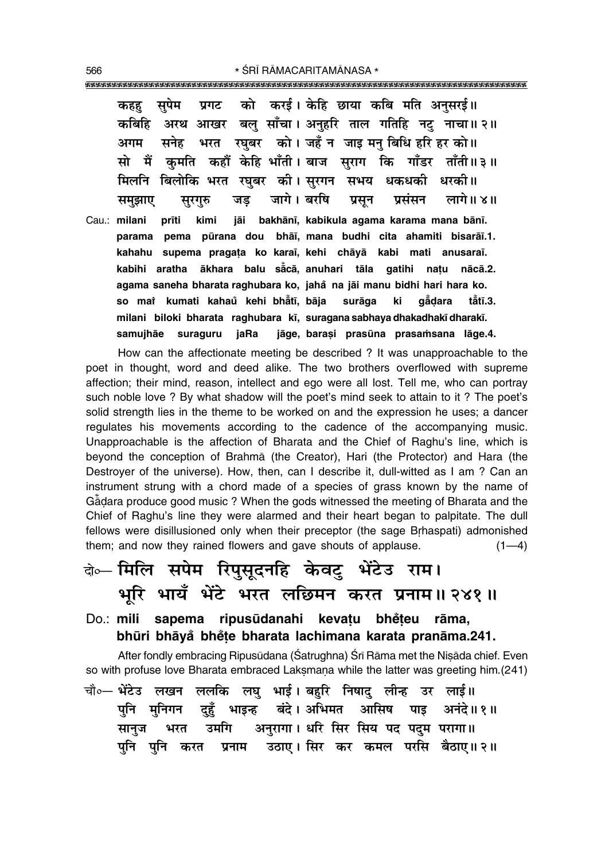सपेम को करई। केहि छाया कबि मति अनसरई॥ प्रगट कहह अरथ आखर बलु साँचा। अनुहरि ताल गतिहि नटु नाचा॥२॥ कबिहि भरत रघुबर को। जहँ न जाइ मनु बिधि हरि हर को॥ सनेह अगम सो मैं कमति कहौं केहि भाँती। बाज सराग कि गाँडर ताँती॥३॥ मिलनि बिलोकि भरत रघुबर की।सुरगन सभय धकधकी धरकी॥ जागे। बरषि जड प्रसून लागे॥४॥ प्रसंसन समुझाए सूरगुरु prīti Cau.: milani kimi jāi bakhānī, kabikula agama karama mana bānī. parama pema pūrana dou bhāi, mana budhi cita ahamiti bisarāi.1. kahahu supema pragata ko karai, kehi chāyā kabi mati anusarai. kabihi aratha ākhara balu sācā, anuhari tāla gatihi natu nācā.2. agama saneha bharata raghubara ko, jahå na jāi manu bidhi hari hara ko. so mai kumati kahaŭ kehi bhåtī, bāja surāga ki gādara tătī.3. milani biloki bharata raghubara kī, suragana sabhaya dhakadhakī dharakī. samujhāe suraguru jaRa jāge, barasi prasūna prasamsana lāge.4.

How can the affectionate meeting be described ? It was unapproachable to the poet in thought, word and deed alike. The two brothers overflowed with supreme affection; their mind, reason, intellect and ego were all lost. Tell me, who can portray such noble love ? By what shadow will the poet's mind seek to attain to it ? The poet's solid strength lies in the theme to be worked on and the expression he uses; a dancer requiates his movements according to the cadence of the accompanying music. Unapproachable is the affection of Bharata and the Chief of Raghu's line, which is beyond the conception of Brahma (the Creator), Hari (the Protector) and Hara (the Destroyer of the universe). How, then, can I describe it, dull-witted as I am ? Can an instrument strung with a chord made of a species of grass known by the name of Gadara produce good music? When the gods witnessed the meeting of Bharata and the Chief of Raghu's line they were alarmed and their heart began to palpitate. The dull fellows were disillusioned only when their preceptor (the sage Brhaspati) admonished them; and now they rained flowers and gave shouts of applause.  $(1-4)$ 

# के- मिलि सपेम रिपुसूदनहि केवट् भेंटेउ राम। भूरि भायँ भेंटे भरत लछिमन करत प्रनाम॥२४१॥

Do.: mili sapema ripusūdanahi kevatu bhėteu rāma, bhūri bhāyå bhete bharata lachimana karata pranāma.241.

After fondly embracing Ripusūdana (Śatrughna) Śrī Rāma met the Nisāda chief. Even so with profuse love Bharata embraced Laksmana while the latter was greeting him.(241)

चौ०— भेंटेउ लखन ललकि लघु भाई। बहुरि निषादु लीन्ह उर लाई॥ भाइन्ह बंदे।अभिमत आसिष पाइ अनंदे॥१॥ पनि मुनिगन दुहूँ अनुरागा। धरि सिर सिय पद पदुम परागा॥ भरत उमगि सानज पनि पनि करत प्रनाम उठाए।सिर कर कमल परसि बैठाए॥२॥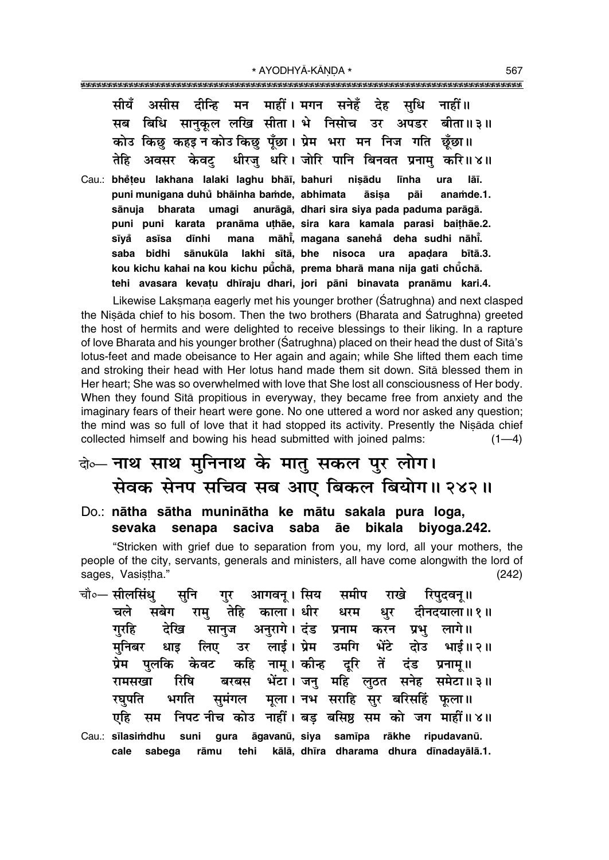|  | सीयँ असीस दीन्हि मन माहीं।मगन सनेहँ देह सुधि नाहीं॥             |  |  |  |                                                                            |
|--|-----------------------------------------------------------------|--|--|--|----------------------------------------------------------------------------|
|  |                                                                 |  |  |  | सब बिधि सानुकूल लखि सीता। भे निसोच उर अपडर बीता॥३॥                         |
|  | कोउ किछ कहइ न कोउ किछ पूँछा। प्रेम भरा मन निज गति छूँछा॥        |  |  |  |                                                                            |
|  |                                                                 |  |  |  | तेहि अवसर केवट् धीरजु धरि। जोरि पानि बिनवत प्रनामु करि॥४॥                  |
|  | Cau.: bhěteu lakhana lalaki laghu bhāī, bahuri nișādu līnha ura |  |  |  | lāī.<br>nuni munigana duhů hhāinha hamda ahhimata — āsisa — nāi — anamda 1 |

puni munigana duhú bhāinha bamde, abhimata asısa pai anamde.1. bharata umagi anurāgā, dhari sira siya pada paduma parāgā. sānuja puni puni karata pranāma uthāe, sira kara kamala parasi baithāe.2. mana māhi, magana sanehå deha sudhi nāhi. sīvå asīsa dīnhi saba bidhi sānukūla lakhi sītā bhe nisoca ura apadara bītā.3. kou kichu kahai na kou kichu pūchā, prema bharā mana nija gati chūchā. tehi avasara kevatu dhīraju dhari, jori pāni binavata pranāmu kari.4.

Likewise Laksmana eagerly met his younger brother (Satrughna) and next clasped the Nisada chief to his bosom. Then the two brothers (Bharata and Śatrughna) greeted the host of hermits and were delighted to receive blessings to their liking. In a rapture of love Bharata and his younger brother (Satrughna) placed on their head the dust of Sita's lotus-feet and made obeisance to Her again and again; while She lifted them each time and stroking their head with Her lotus hand made them sit down. Sita blessed them in Her heart; She was so overwhelmed with love that She lost all consciousness of Her body. When they found Sita propitious in everyway, they became free from anxiety and the imaginary fears of their heart were gone. No one uttered a word nor asked any question; the mind was so full of love that it had stopped its activity. Presently the Nisada chief collected himself and bowing his head submitted with joined palms:  $(1-4)$ 

### बेञ्चल नाथ साथ मुनिनाथ के मातु सकल पुर लोग। सेवक सेनप सचिव सब आए बिकल बियोग॥ २४२॥

Do.: nātha sātha muninātha ke mātu sakala pura loga, sevaka senapa saciva saba āe bikala biyoga.242.

"Stricken with grief due to separation from you, my lord, all your mothers, the people of the city, servants, generals and ministers, all have come alongwith the lord of sages, Vasistha."  $(242)$ 

- गुर आगवन् । सिय समीप राखे रिपुदवनू॥ चौ०— सीलसिंध सनि राम तेहि काला।धीर धरम चले सबेग धर दीनदयाला॥१॥ ्<br>सानुज अनुरागे। दंड प्रनाम करन प्रभु लागे॥ गरहि देखि उर लाई। प्रेम उमगि भेंटे दोउँ भाई॥२॥ मनिबर धाड लिए कहि नाम्। कीन्ह दूरि तें दंड प्रनाम्॥ पलकि केवट प्रेम बरबस भेंटा। जनु महि लुठत सनेह समेटा॥३॥ रिषि रामसखा मूला। नभ सराहि सुर बरिसहिं फूला॥ भगति सूमंगल रघपति एहि सम निपट नीच कोउ नाहीं। बड़ बसिष्ठ सम को जग माहीं॥४॥
- Cau.: sīlasimdhu āgavanū, siya samīpa rākhe ripudavanū. suni qura kālā, dhīra dharama dhura dīnadayālā.1. cale sabega rāmu tehi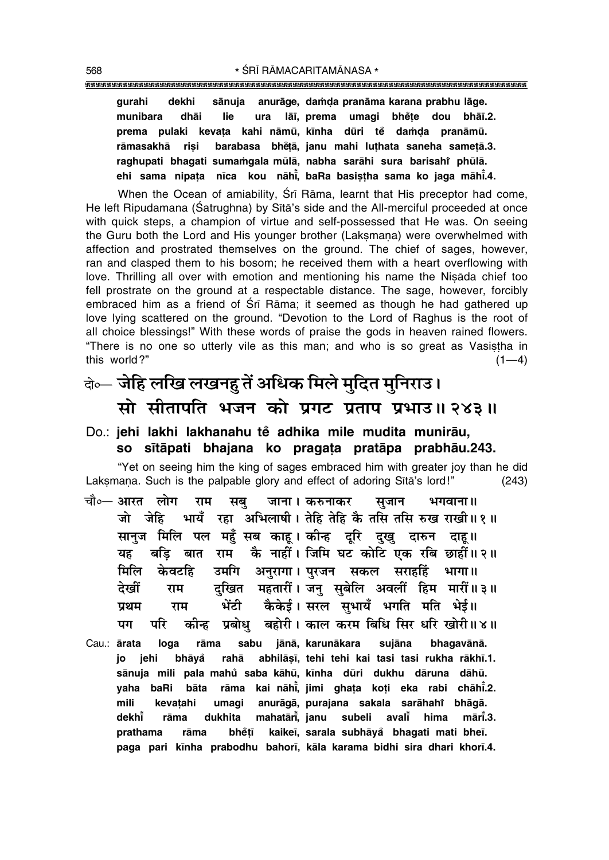#### 

sānuja anurāge, damda pranāma karana prabhu lāge. gurahi dekhi lāi, prema umagi bhėte dou bhāi.2. munibara dhāi lie ura prema pulaki kevata kahi nāmū kīnha dūri tě damda pranāmū. barabasa bhětā, janu mahi luthata saneha sametā.3. rāmasakhā risi raghupati bhaqati sumamgala mūlā, nabha sarāhi sura barisahi phūlā. ehi sama nipata nīca kou nāhī, baRa basistha sama ko jaga māhī.4.

When the Ocean of amiability, Srī Rāma, learnt that His preceptor had come, He left Ripudamana (Satrughna) by Sītā's side and the All-merciful proceeded at once with quick steps, a champion of virtue and self-possessed that He was. On seeing the Guru both the Lord and His younger brother (Laksmana) were overwhelmed with affection and prostrated themselves on the ground. The chief of sages, however, ran and clasped them to his bosom; he received them with a heart overflowing with love. Thrilling all over with emotion and mentioning his name the Nisada chief too fell prostrate on the ground at a respectable distance. The sage, however, forcibly embraced him as a friend of Sri Rama; it seemed as though he had gathered up love lying scattered on the ground. "Devotion to the Lord of Raghus is the root of all choice blessings!" With these words of praise the gods in heaven rained flowers. "There is no one so utterly vile as this man; and who is so great as Vasistha in this world?"  $(1-4)$ 

## के— जेहि लखि लखनहु तें अधिक मिले मुदित मुनिराउ। सो सीतापति भजन को प्रगट प्रताप प्रभाउ॥ २४३॥

#### Do.: jehi lakhi lakhanahu tě adhika mile mudita munirāu, so sītāpati bhajana ko pragata pratāpa prabhāu.243.

"Yet on seeing him the king of sages embraced him with greater joy than he did Laksmana. Such is the palpable glory and effect of adoring Sītā's lord!"  $(243)$ 

- चौ∘— आरत लोग राम सब जाना । करुनाकर सजान भगवाना ॥ जो जेहि भायँ रहा अभिलाषी। तेहि तेहि कै तसि तसि रुख राखी॥१॥ सानुज मिलि पल महँ सब काह। कीन्ह दुरि दुखु दारुन दाह॥ बडि बात राम कै नाहीं। जिमि घट कोटि एक रबि छाहीं॥२॥ यह उमगि अनुरागा। पुरजन सकल सराहहिं भागा॥ मिलि केवटहि दुखित महतारीं। जन् सुबेलि अवलीं हिम मारीं॥३॥ देखीं राम ्<br>भेंटी कैकेई।सरल सुभायँ भगति मति भेई॥ प्रथम राम कीन्ह प्रबोध बहोरी। काल करम बिधि सिर धरि खोरी॥४॥ परि पग
- Cau.: ārata loga rāma sabu jānā, karunākara sujāna bhaqavānā. jo jehi abhilāșī, tehi tehi kai tasi tasi rukha rākhī.1. bhāyå rahā sānuja mili pala mahů saba kāhū, kīnha dūri dukhu dāruna dāhū. rāma kai nāhi, jimi ghata koti eka rabi chāhi.2. vaha baRi bāta anurāgā, purajana sakala sarāhahi bhāgā. mili kevatahi umagi mahatāri, janu subeli avali dekhi rāma dukhita hima mārī.3. prathama rāma bhětī kaikeī, sarala subhāyå bhagati mati bheī. paga pari kīnha prabodhu bahorī, kāla karama bidhi sira dhari khorī.4.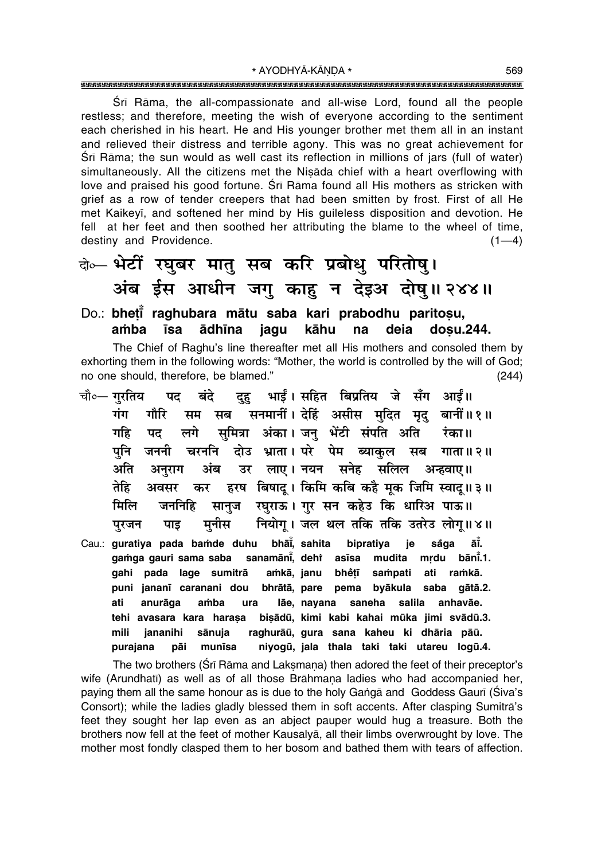Sri Rāma, the all-compassionate and all-wise Lord, found all the people restless; and therefore, meeting the wish of everyone according to the sentiment each cherished in his heart. He and His younger brother met them all in an instant and relieved their distress and terrible agony. This was no great achievement for Srī Rāma; the sun would as well cast its reflection in millions of jars (full of water) simultaneously. All the citizens met the Nisada chief with a heart overflowing with love and praised his good fortune. Srī Rāma found all His mothers as stricken with grief as a row of tender creepers that had been smitten by frost. First of all He met Kaikeyi, and softened her mind by His guileless disposition and devotion. He fell at her feet and then soothed her attributing the blame to the wheel of time, destiny and Providence.  $(1-4)$ 

## बेञ्च भेटीं रघुबर मातु सब करि प्रबोधु परितोषु। अंब ईस आधीन जगु काहु न देइअ दोषु॥२४४॥

#### Do.: bheti raghubara mātu saba kari prabodhu paritosu, amba **īsa** ādhīna deia dosu.244. jagu kāhu na

The Chief of Raghu's line thereafter met all His mothers and consoled them by exhorting them in the following words: "Mother, the world is controlled by the will of God; no one should, therefore, be blamed."  $(244)$ 

दुहु भाईं। सहित बिप्रतिय जे सँग आईं॥ चौ∘— गरतिय बंदे पद सम सब सनमानीं। देहिं असीस मदित मद बानीं॥१॥ गंग गौरि सुमित्रा अंका। जनु भेंटी संपति अति लगे गहि रंका॥ पट दोउ भ्राता। परे पेम ब्याकुल सब गाता॥२॥ जननी चरननि पनि अति अनुराग अंब उर लाए।नयन सनेह सलिल अन्हवाए॥ हरष विषाद् । किमि कबि कहै मूक जिमि स्वाद् ॥ ३ ॥ तेहि अवसर कर सानुज रघुराऊ। गुर सन कहेउ कि धारिअ पाऊ॥ जननिहि मिलि नियोग् । जल थल तकि तकि उतरेउ लोग्॥४॥ मनीस परजन पाड Cau.: guratiya pada bamde duhu bhai, sahita bipratiya ie såga āĭ. gamga gauri sama saba sanamāni, deht asīsa mudita mrdu bānī.1. amkā, janu gahi pada lage sumitrā bhětī sampati ati ramkā. puni jananī caranani dou bhrātā, pare pema byākula saba gātā.2. ati anurāga amba ura lāe, nayana saneha salila anhavāe. tehi avasara kara haraşa bişādū, kimi kabi kahai mūka jimi svādū.3. mili jananihi sānuja raghurāū, gura sana kaheu ki dhāria pāū. niyogū, jala thala taki taki utareu logū.4. purajana pāi munīsa

The two brothers (Sri Rama and Laksmana) then adored the feet of their preceptor's wife (Arundhatī) as well as of all those Brāhmana ladies who had accompanied her, paying them all the same honour as is due to the holy Ganga and Goddess Gauri (Siva's Consort); while the ladies gladly blessed them in soft accents. After clasping Sumitra's feet they sought her lap even as an abject pauper would hug a treasure. Both the brothers now fell at the feet of mother Kausalya, all their limbs overwrought by love. The mother most fondly clasped them to her bosom and bathed them with tears of affection.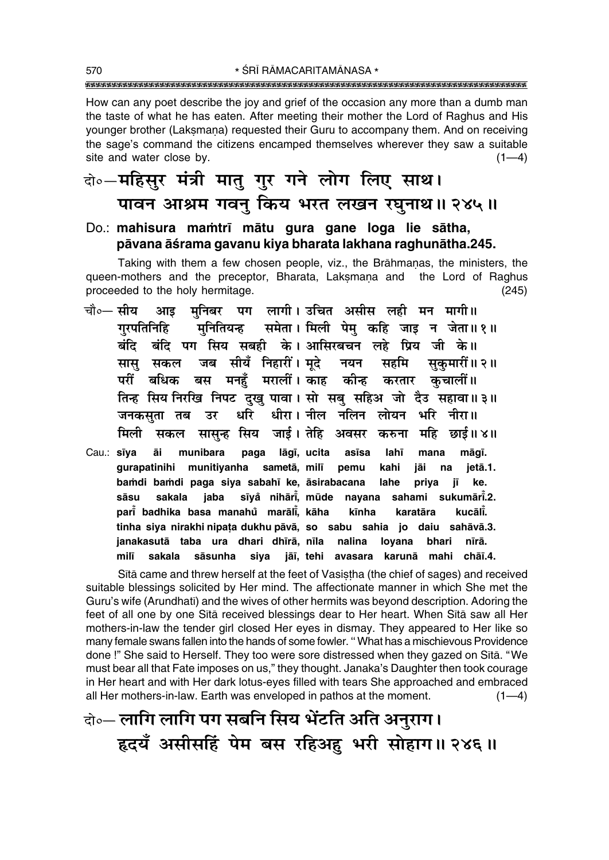How can any poet describe the joy and grief of the occasion any more than a dumb man the taste of what he has eaten. After meeting their mother the Lord of Raghus and His younger brother (Laksmana) requested their Guru to accompany them. And on receiving the sage's command the citizens encamped themselves wherever they saw a suitable site and water close by.  $(1-4)$ 

### वे∘-महिसुर मंत्री मातु गुर गने लोग लिए साथ। पावन आश्रम गवन् किय भरत लखन रघनाथ॥ २४५॥

#### Do.: mahisura mamtrī mātu gura gane loga lie sātha, pāvana āśrama gavanu kiya bharata lakhana raghunātha.245.

Taking with them a few chosen people, viz., the Brāhmanas, the ministers, the queen-mothers and the preceptor, Bharata, Laksmana and the Lord of Raghus proceeded to the holy hermitage.  $(245)$ 

- मनिबर पग लागी। उचित असीस लही मन मागी॥ चौ०— सीय आइ मुनितियन्ह समेता। मिली पेम् कहि जाइ न जेता॥१॥ गुरपतिनिहि बंदि बंदि पग सिय सबही के।आसिरबचन लहे प्रिय जी के॥ जब सीयँ निहारीं। मदे नयन सहमि सास सकल सकमारीं॥ २॥ परीं बधिक बस मनहँ मरालीं। काह कीन्ह कचालीं।। करतार तिन्ह सिय निरखि निपट दुखु पावा। सो सबु सहिअ जो दैउ सहावा॥३॥ धीरा। नील नलिन लोयन भरि नीरा॥ जनकसता तब धरि उर सासुन्ह सिय जाई। तेहि अवसर करुना महि छाई॥४॥ मिली सकल
- Cau.: sīva āi munibara paga lāgī, ucita lahī asīsa mana māgī. gurapatinihi munitiyanha sametā, milī pemu kahi jāi jetā.1. na bamdi bamdi paga siya sabahī ke, āsirabacana priya lahe iī ke. sīyå nihāri, mūde nayana sahami sukumāri.2. sāsu sakala jaba pari badhika basa manahů marāli, kāha kīnha kucālī. karatāra tinha siya nirakhi nipata dukhu pāvā, so sabu sahia jo daiu sahāvā.3. janakasutā taba ura dhari dhīrā, nīla nalina loyana bhari nīrā. milī sakala sāsunha jāī, tehi avasara karunā mahi chāī.4. siya

Sita came and threw herself at the feet of Vasistha (the chief of sages) and received suitable blessings solicited by Her mind. The affectionate manner in which She met the Guru's wife (Arundhatī) and the wives of other hermits was beyond description. Adoring the feet of all one by one Sita received blessings dear to Her heart. When Sita saw all Her mothers-in-law the tender girl closed Her eyes in dismay. They appeared to Her like so many female swans fallen into the hands of some fowler. "What has a mischievous Providence done !" She said to Herself. They too were sore distressed when they gazed on Sita. "We must bear all that Fate imposes on us," they thought. Janaka's Daughter then took courage in Her heart and with Her dark lotus-eyes filled with tears She approached and embraced all Her mothers-in-law. Earth was enveloped in pathos at the moment.  $(1-4)$ 

वे॰- लागि लागि पग सबनि सिय भेंटति अति अनुराग। हृदयँ असीसहिं पेम बस रहिअहु भरी सोहाग॥ २४६॥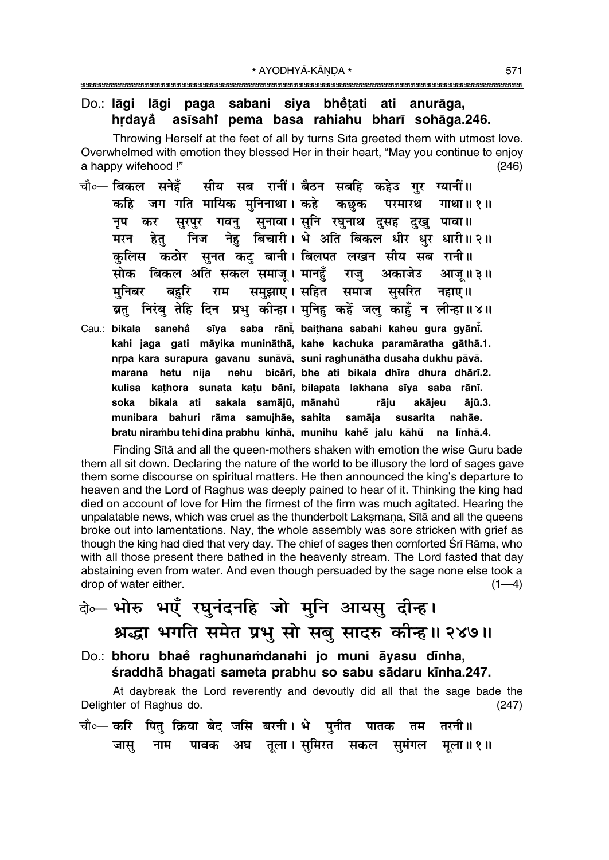#### Do.: lāgi lāgi paga sabani siya bhetati ati anurāga, asīsahi pema basa rahiahu bharī sohāga.246. hrdayå

Throwing Herself at the feet of all by turns Sita greeted them with utmost love. Overwhelmed with emotion they blessed Her in their heart, "May you continue to enjoy a happy wifehood !"  $(246)$ 

- चौ०— बिकल सनेहँ सीय सब रानीं। बैठन सबहि कहेउ गर ग्यानीं॥ कहि जग गति मायिक मनिनाथा। कहे कछक परमारथ गाथा॥ १॥ सुरपुर गवनु सुनावा।सुनि रघुनाथ दुसह दुखु पावा॥ नप कर निज नेह बिचारी। भे अति बिकल धीर धुर धारी॥२॥ मरन हेत् कुलिस कठोर सुनत कट् बानी। बिलपत लखन सीय सब रानी॥ सोक बिकल अति सकल समाज् । मानहँ राज् अकाजेउ आज॥३॥ समुझाए। सहित समाज सुसरित मनिबर बहरि राम नहाए ॥ ब्रतु निरंबु तेहि दिन प्रभु कीन्हा। मुनिहु कहें जलु काहुँ न लीन्हा॥४॥
- sīya saba rāni, baithana sabahi kaheu gura gyāni. Cau.: bikala sanehå kahi jaga gati māyika munināthā, kahe kachuka paramāratha gāthā.1. nrpa kara surapura gavanu sunāvā, suni raghunātha dusaha dukhu pāvā. nehu bicārī, bhe ati bikala dhīra dhura dhārī.2. marana hetu nija kulisa kathora sunata katu bānī, bilapata lakhana sīya saba rānī. bikala ati sakala samājū, mānahů akājeu soka rāju ājū.3. munibara bahuri rāma samujhāe, sahita susarita samāja nahāe. bratu nirambu tehi dina prabhu kīnhā, munihu kahě jalu kāhů na līnhā.4.

Finding Sita and all the queen-mothers shaken with emotion the wise Guru bade them all sit down. Declaring the nature of the world to be illusory the lord of sages gave them some discourse on spiritual matters. He then announced the king's departure to heaven and the Lord of Raghus was deeply pained to hear of it. Thinking the king had died on account of love for Him the firmest of the firm was much agitated. Hearing the unpalatable news, which was cruel as the thunderbolt Laksmana, Sita and all the queens broke out into lamentations. Nay, the whole assembly was sore stricken with grief as though the king had died that very day. The chief of sages then comforted Sri Rāma, who with all those present there bathed in the heavenly stream. The Lord fasted that day abstaining even from water. And even though persuaded by the sage none else took a drop of water either.  $(1-4)$ 

# बे भोरु भएँ रघुनंदनहि जो मुनि आयसु दीन्ह। श्रद्धा भगति समेत प्रभु सो सबु सादरु कीन्ह।। २४७॥

Do.: bhoru bhae raghunamdanahi jo muni āyasu dīnha, śraddhā bhagati sameta prabhu so sabu sādaru kīnha.247.

At daybreak the Lord reverently and devoutly did all that the sage bade the Delighter of Raghus do.  $(247)$ 

चौ∘— करि पितु क्रिया बेद जसि बरनी। भे पुनीत पातक तम तरनी॥ नाम पावक अघ तुला।सुमिरत सकल सुमंगल मुला॥१॥ जास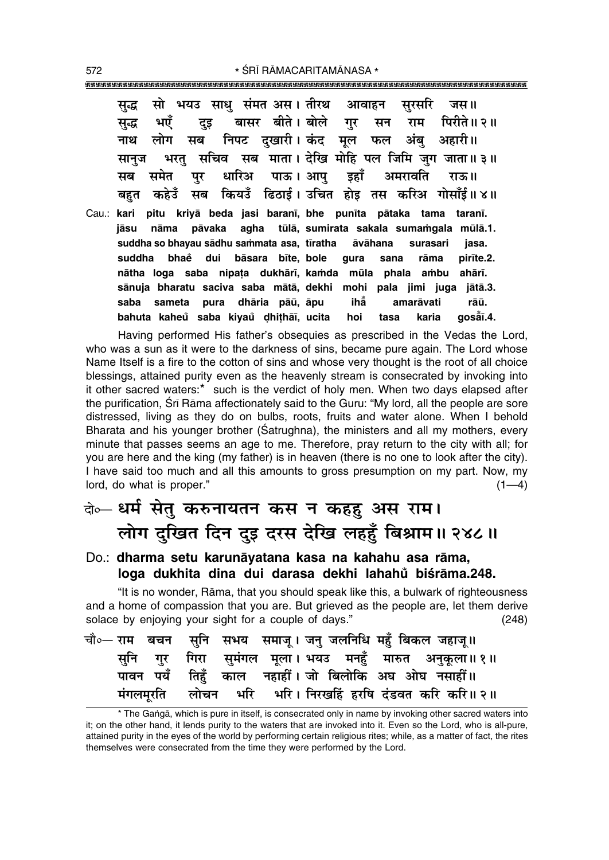सो भयउ साध संमत अस। तीरथ सरसरि सद्ध आवाहन जस॥ बासर बीते। बोले भएँ पिरीते॥ २॥ गर सन राम सद्ध दुइ लोग निपट दखारी। कंद अंब अहारी॥ नाथ मूल फल सब सचिव सब माता। देखि मोहि पल जिमि जुग जाता॥३॥ भरत् सानुज पाऊ। आप समेत धारिअ अमरावति मब पुर इहाँ राऊ॥ कियउँ ढिठाई। उचित होड तस करिअ गोसाँई॥४॥ कहेउँ बहत मब Cau.: kari pitu kriyā beda jasi baranī, bhe punīta pātaka tama taranī. iāsu nāma pāvaka agha tūlā, sumirata sakala sumamgala mūlā.1. suddha so bhayau sādhu sammata asa, tīratha āvāhana surasari jasa. suddha bhaẻ dui bāsara bīte, bole qura sana rāma pirīte.2. nātha loga saba nipata dukhārī, kamda mūla phala ambu ahārī. sānuja bharatu saciva saba mātā, dekhi mohi pala jimi juga jātā.3. saba sameta pura dhāria pāū, āpu ihằ amarāvati rāū. gosåī.4. bahuta kaheů saba kiyaů dhithāī, ucita hoi tasa karia

Having performed His father's obsequies as prescribed in the Vedas the Lord. who was a sun as it were to the darkness of sins, became pure again. The Lord whose Name Itself is a fire to the cotton of sins and whose very thought is the root of all choice blessings, attained purity even as the heavenly stream is consecrated by invoking into it other sacred waters:\* such is the verdict of holy men. When two days elapsed after the purification, Srī Rāma affectionately said to the Guru: "My lord, all the people are sore distressed, living as they do on bulbs, roots, fruits and water alone. When I behold Bharata and his younger brother (Satrughna), the ministers and all my mothers, every minute that passes seems an age to me. Therefore, pray return to the city with all; for you are here and the king (my father) is in heaven (there is no one to look after the city). I have said too much and all this amounts to gross presumption on my part. Now, my lord, do what is proper."  $(1-4)$ 

### बे⊶ धर्म सेतु करुनायतन कस न कहहु अस राम। लोग दुखित दिन दुइ दरस देखि लहहूँ बिश्राम॥ २४८॥

#### Do.: dharma setu karunāyatana kasa na kahahu asa rāma, loga dukhita dina dui darasa dekhi lahahů biśrāma.248.

"It is no wonder, Rāma, that you should speak like this, a bulwark of righteousness and a home of compassion that you are. But grieved as the people are, let them derive solace by enjoying your sight for a couple of days."  $(248)$ 

|  |  |  |  |  | चौ∘— राम  बचन  सुनि  सभय  समाजू । जनु जलनिधि महुँ बिकल जहाजू॥ |
|--|--|--|--|--|---------------------------------------------------------------|
|  |  |  |  |  | सूनि गुर गिरा सुमंगल मूला। भयउ मनहुँ मारुत अनुकूला॥ १॥        |
|  |  |  |  |  | पावन पयँ तिहँ काल नहाहीं। जो बिलोकि अघ ओघ नसाहीं॥             |
|  |  |  |  |  | मंगलमूरति लोचन भरि भरि। निरखर्हि हरषि दंडवत करि करि॥२॥        |

<sup>\*</sup> The Ganga, which is pure in itself, is consecrated only in name by invoking other sacred waters into it; on the other hand, it lends purity to the waters that are invoked into it. Even so the Lord, who is all-pure, attained purity in the eyes of the world by performing certain religious rites; while, as a matter of fact, the rites themselves were consecrated from the time they were performed by the Lord.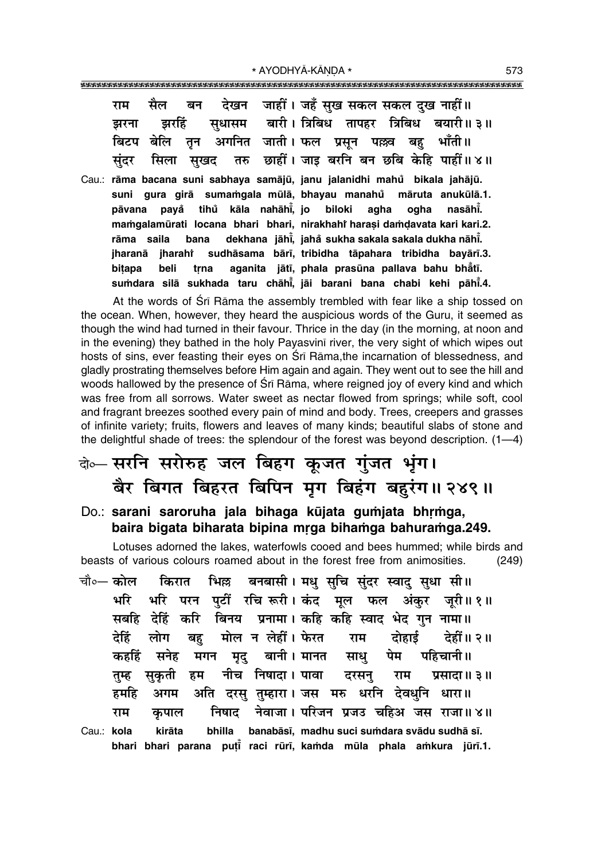|  | राम सैल बन देखन जाहीं। जहँ सुख सकल-सकल दुख नाहीं॥        |
|--|----------------------------------------------------------|
|  | झरना झरहिं सुधासम बारी।त्रिबिध तापहर त्रिबिध बयारी॥३॥    |
|  | बिटप बेलि तुन अगनित जाती। फल प्रसुन पल्लव बहु भाँती॥     |
|  | सुंदर सिला सुखद तरु छाहीं। जाइ बरनि बन छबि केहि पाहीं॥४॥ |

Cau.: **rāma bacana suni sabhaya samājū, janu jalanidhi mahů bikala jahājū.** suni gura girā sumamgala mūlā, bhayau manahu māruta anukūlā.1. **påvana paya° tihu kåla ° nahåh∂° , jo biloki agha ogha nasåh∂° . ma≈galamµurati locana bhari bhari, nirakhahiÚ hara¶i da≈Œavata kari kari.2. råma saila bana dekhana jåh∂° , jaha° sukha sakala sakala dukha nåh∂° . jharanå jharahiÚ sudhåsama bår∂, tribidha tåpahara tribidha bayår∂.3. biṭapa beli tṛna aganita jātī, phala**prasūna pallava bahu bhẳtī. **su≈dara silå sukhada taru chåh∂° , jåi barani bana chabi kehi påh∂° .4.**

At the words of Srī Rāma the assembly trembled with fear like a ship tossed on the ocean. When, however, they heard the auspicious words of the Guru, it seemed as though the wind had turned in their favour. Thrice in the day (in the morning, at noon and in the evening) they bathed in the holy Payasvin∂ river, the very sight of which wipes out hosts of sins, ever feasting their eyes on Srī Rāma,the incarnation of blessedness, and gladly prostrating themselves before Him again and again. They went out to see the hill and woods hallowed by the presence of Srī Rāma, where reigned joy of every kind and which was free from all sorrows. Water sweet as nectar flowed from springs; while soft, cool and fragrant breezes soothed every pain of mind and body. Trees, creepers and grasses of infinite variety; fruits, flowers and leaves of many kinds; beautiful slabs of stone and the delightful shade of trees: the splendour of the forest was beyond description.  $(1-4)$ 

### बे**०** सरनि सरोरुह जल बिहग कूजत गुंजत भूंग। <u>बैर बिगत बिहरत बिपिन मूग बिहंग बहरंग॥ २४९॥</u>

#### Do.: sarani saroruha jala bihaga kūjata gumjata bhrmga, baira bigata biharata bipina mrga bihamga bahuramga.249.

Lotuses adorned the lakes, waterfowls cooed and bees hummed; while birds and beasts of various colours roamed about in the forest free from animosities. (249)

चौ०— कोल किरात भिल्ल बनबासी । मधु सुचि सुंदर स्वाद् सुधा सी ॥ भरि भरि परन पुर्टी रचि **रूरी। कंद मूल फल अंकुर जुरी॥१॥** सबहि देहिं करि बिनय **प्रनामा। कहि कहि स्वाद भेद गुन** नामा॥ देहिं लोग बहु मोल**न लेहीं। फेरत राम दोहाई देहीं॥**२॥ ॅकहहिं सनेह मगन मृद् बानी। मानत साधु पेम पहिचानी॥ **तुम्ह सुकृती हम नीच निषादा।** पावा दरसनु राम प्रसादा॥३॥ हमहि अगम अति दरसु तुम्हारा। जस मरु धरनि देवधुनि धारा॥ **राम कपाल निषाद नेवाजा । परिजन प्रज**ड चहिअ जस राजा॥४॥ Cau.: **kola kiråta bhilla banabås∂, madhu suci su≈dara svådu sudhå s∂.**

**bhari bhari parana pu¢∂° raci rµur∂, ka≈da mµula phala a≈kura jµur∂.1.**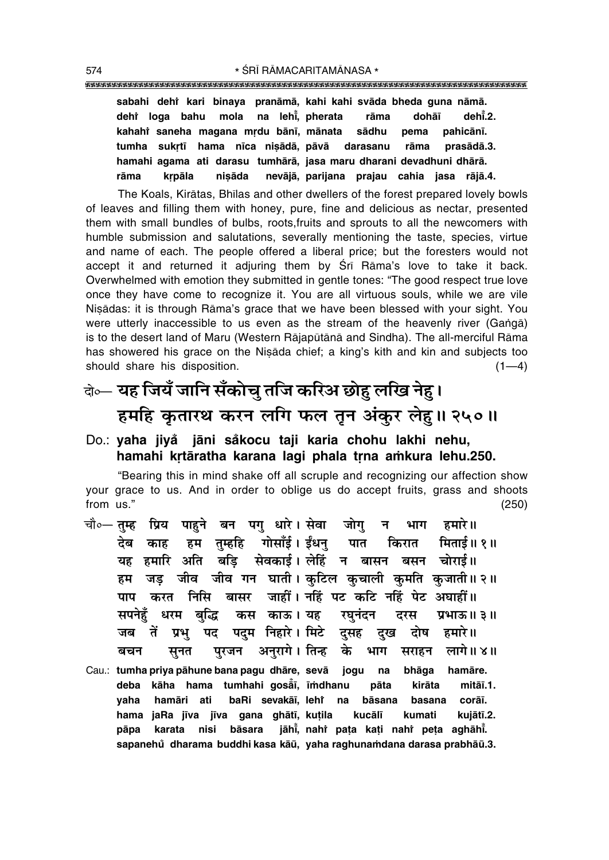#### **sabahi dehiÚ kari binaya pranåmå, kahi kahi svåda bheda guna nåmå. dehiÚ loga bahu mola na leh∂° , pherata råma dohå∂ deh∂° .2.** kahahì saneha magana mṛdu bānī, mānata sādhu pema pahicānī. tumha sukrtī hama nīca nisādā, pāvā darasanu rāma prasādā.3. **hamahi agama ati darasu tumhårå, jasa maru dharani devadhuni dhårå. råma kæpåla ni¶åda nevåjå, parijana prajau cahia jasa råjå.4.**

The Koals, Kirātas, Bhīlas and other dwellers of the forest prepared lovely bowls of leaves and filling them with honey, pure, fine and delicious as nectar, presented them with small bundles of bulbs, roots,fruits and sprouts to all the newcomers with humble submission and salutations, severally mentioning the taste, species, virtue and name of each. The people offered a liberal price; but the foresters would not accept it and returned it adjuring them by Śrī Rāma's love to take it back. Overwhelmed with emotion they submitted in gentle tones: "The good respect true love once they have come to recognize it. You are all virtuous souls, while we are vile Nisådas: it is through Råma's grace that we have been blessed with your sight. You were utterly inaccessible to us even as the stream of the heavenly river (Ganga) is to the desert land of Maru (Western Rājapūtānā and Sindha). The all-merciful Rāma has showered his grace on the Nisada chief; a king's kith and kin and subjects too should share his disposition.  $(1-4)$ 

# दो∞– **यह जियँ जानि सँकोच् तजि करिअ छोह लखि नेह।** हमहि कृतारथ करन लगि फल तून अंकुर लेह।। २५०॥

#### Do.: **yaha jiya jåni sa ° °kocu taji karia chohu lakhi nehu,** hamahi krtāratha karana lagi phala trna amkura lehu.250.

ìBearing this in mind shake off all scruple and recognizing our affection show your grace to us. And in order to oblige us do accept fruits, grass and shoots from us.î (250)

- चौ०– **तुम्ह प्रिय पाहुने बन पगु धारे। सेवा जोगु न भाग हमारे॥** देब काह हम तुम्हहि गोसाँई।**ईंधन् पात किरात मिताई॥१**॥ यह हमारि अति बड़ि सेवकाई।लेहिं न बासन बसन चोराई॥ हम जड़ जीव जीव गन घाती। कुटिल कुचाली कुमति कुजाती॥२॥ **पाप करत निसि बासर जाहीं। नहिं पट कटि नहिं पेट अघाहीं॥** सपनेहँ धरम बद्धि कस काऊ।**यह रघनंदन दरस प्रभाऊ॥३॥** जब तें प्रभु पद पदुम निहारे। मिटे दुसह दुख दोष हमारे ।। े**बचन सुनत पुरजन अनुरागे। तिन्ह के भाग स**राहन लागे॥४॥ Cau.: **tumha priya påhune bana pagu dhåre, sevå jogu na bhåga hamåre. deba kåha hama tumhahi goså° ∂, ∂≈dhanu påta kiråta mitå∂.1. yaha hamåri ati baRi sevakå∂, lehiÚ na båsana basana corå∂.**
	- **hama jaRa j∂va j∂va gana ghåt∂, ku¢ila kucål∂ kumati kujåt∂.2. påpa karata nisi båsara jåh∂° , nahiÚ pa¢a ka¢i nahiÚ pe¢a aghåh∂° .** sapanehů dharama buddhi kasa kāū, yaha raghunamdana darasa prabhāū.3.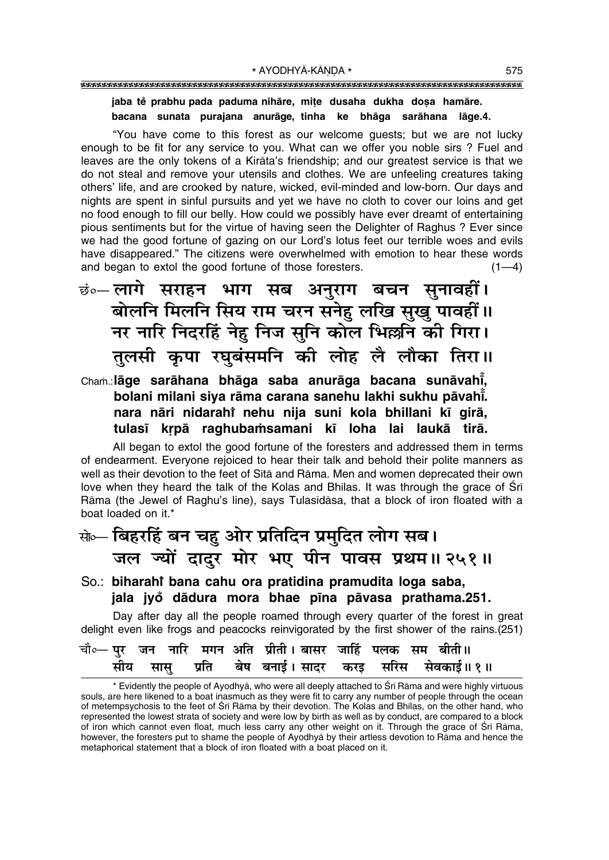### 

#### jaba tě prabhu pada paduma nihāre, mițe dusaha dukha doșa hamāre. bacana sunata purajana anurāge tinha ke bhāga sarāhana lāge.4.

"You have come to this forest as our welcome quests; but we are not lucky enough to be fit for any service to you. What can we offer you noble sirs ? Fuel and leaves are the only tokens of a Kirata's friendship; and our greatest service is that we do not steal and remove your utensils and clothes. We are unfeeling creatures taking others' life, and are crooked by nature, wicked, evil-minded and low-born. Our days and nights are spent in sinful pursuits and yet we have no cloth to cover our loins and get no food enough to fill our belly. How could we possibly have ever dreamt of entertaining pious sentiments but for the virtue of having seen the Delighter of Raghus ? Ever since we had the good fortune of gazing on our Lord's lotus feet our terrible woes and evils have disappeared." The citizens were overwhelmed with emotion to hear these words and began to extol the good fortune of those foresters.  $(1-4)$ 

छं∘—लागे सराहन भाग सब अनुराग बचन सुनावहीं। बोलनि मिलनि सिय राम चरन सनेहु लखि सुखु पावहीं॥ नर नारि निदरहिं नेहु निज सुनि कोल भिल्लनि की गिरा। तुलसी कृपा रघुबंसमनि की लोह लै लौका तिरा॥

Cham.:lāge sarāhana bhāga saba anurāga bacana sunāvahi, bolani milani siya rāma carana sanehu lakhi sukhu pāvahi. nara nāri nidarahi nehu nija suni kola bhillani kī girā, tulasī krpā raghubamsamani kī loha lai laukā tirā.

All began to extol the good fortune of the foresters and addressed them in terms of endearment. Everyone rejoiced to hear their talk and behold their polite manners as well as their devotion to the feet of Sita and Rama. Men and women deprecated their own love when they heard the talk of the Kolas and Bhilas. It was through the grace of Sri Rāma (the Jewel of Raghu's line), says Tulasīdāsa, that a block of iron floated with a boat loaded on it.\*

### क्षेञ्- बिहरहिं बन चह ओर प्रतिदिन प्रमुदित लोग सब। जल ज्यों दादर मोर भए पीन पावस प्रथम॥ २५१॥

#### So.: biharahi bana cahu ora pratidina pramudita loga saba, jala jyo dādura mora bhae pīna pāvasa prathama.251.

Day after day all the people roamed through every quarter of the forest in great delight even like frogs and peacocks reinvigorated by the first shower of the rains.(251)

|  |  | चौ∘— पुर  जन  नारि  मगन  अति  प्रीती । बासर  जाहिं  पलक  सम  बीती॥ |  |                                                 |  |
|--|--|--------------------------------------------------------------------|--|-------------------------------------------------|--|
|  |  |                                                                    |  | सीय सासु प्रति बेष बनाई।सादर करइ सरिस सेवकाई॥१॥ |  |

<sup>\*</sup> Evidently the people of Ayodhya, who were all deeply attached to Śrī Rāma and were highly virtuous souls, are here likened to a boat inasmuch as they were fit to carry any number of people through the ocean of metempsychosis to the feet of Sri Rama by their devotion. The Kolas and Bhilas, on the other hand, who represented the lowest strata of society and were low by birth as well as by conduct, are compared to a block of iron which cannot even float, much less carry any other weight on it. Through the grace of Sri Rāma, however, the foresters put to shame the people of Ayodhya by their artless devotion to Rama and hence the metaphorical statement that a block of iron floated with a boat placed on it.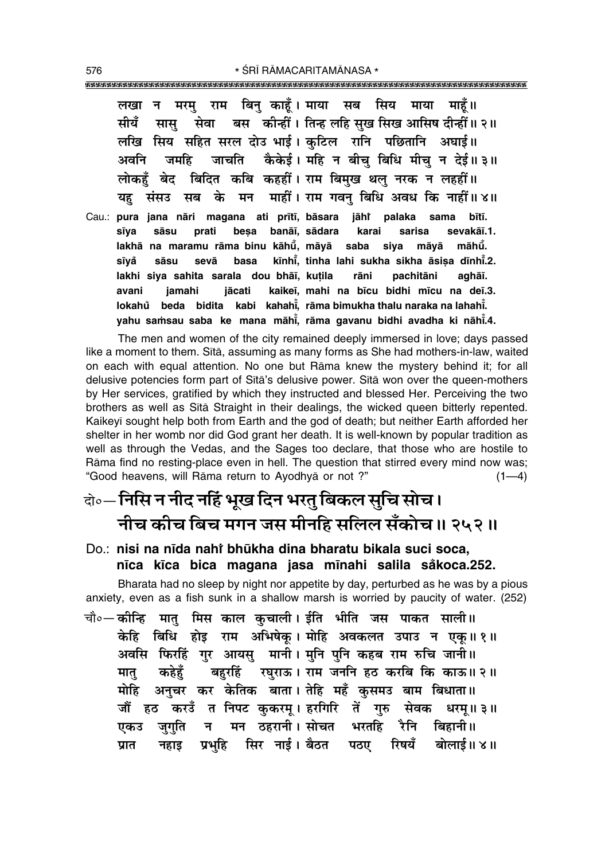राम बिन काहँ। माया सब सिय माहँ ॥ माया लखा ान मरम बस कीन्हीं। तिन्ह लहि सख सिख आसिष दीन्हीं॥ २॥ सेवा मीयँ सास लखि सिय सहित सरल दोउ भाई। कटिल रानि पछितानि अघाई॥ जाचति कैकेई। महि न बीच बिधि मीच न देई॥३॥ अवनि जमहि बिदित कबि कहहीं। राम बिमुख थलु नरक न लहहीं॥ लोकहँ बेद के मन माहीं। राम गवन् बिधि अवध कि नाहीं॥४॥ यह संसउ सब sama Cau.: pura jana nāri magana ati prītī, bāsara jāhi palaka bītī. sīya banāī, sādara sāsu besa karai sarisa sevakāī.1. prati lakhā na maramu rāma binu kāhū, māyā saba māvā māhū. siva sīvå sevā basa kīnhī, tinha lahi sukha sikha āsisa dīnhī.2. sāsu lakhi siya sahita sarala dou bhāī, kuțila rāni pachitāni aghāī. avani jamahi jācati kaikeī, mahi na bīcu bidhi mīcu na deī.3. kabi kahahi. rāma bimukha thalu naraka na lahahi. lokahů beda bidita yahu samsau saba ke mana māhi, rāma gavanu bidhi avadha ki nāhi.4.

The men and women of the city remained deeply immersed in love; days passed like a moment to them. Sita, assuming as many forms as She had mothers-in-law, waited on each with equal attention. No one but Rāma knew the mystery behind it; for all delusive potencies form part of Sita's delusive power. Sita won over the queen-mothers by Her services, gratified by which they instructed and blessed Her. Perceiving the two brothers as well as Sita Straight in their dealings, the wicked queen bitterly repented. Kaikeyī sought help both from Earth and the god of death; but neither Earth afforded her shelter in her womb nor did God grant her death. It is well-known by popular tradition as well as through the Vedas, and the Sages too declare, that those who are hostile to Rāma find no resting-place even in hell. The question that stirred every mind now was; "Good heavens, will Rāma return to Ayodhyā or not ?"  $(1-4)$ 

## वे॰- निसि न नीद नहिं भुख दिन भरत् बिकल सुचि सोच। नीच कीच बिच मगन जस मीनहि सलिल सँकोच॥ २५२॥

### Do.: nisi na nīda nahi bhūkha dina bharatu bikala suci soca, nīca kīca bica magana jasa mīnahi salila såkoca.252.

Bharata had no sleep by night nor appetite by day, perturbed as he was by a pious anxiety, even as a fish sunk in a shallow marsh is worried by paucity of water. (252)

चौ०—कोन्हि मातु मिस काल कुचाली। ईति भीति जस पाकत साली॥ केहि बिधि होड़ राम अभिषेक् । मोहि अवकलत उपाउ न एक॥१॥ अवसि फिरहिं गुर आयसु मानी। मुनि पुनि कहब राम रुचि जानी॥ बहरहिं रघुराऊ। राम जननि हठ करबि कि काऊ॥२॥ कहेहँ मात् मोहि अनुचर कर केतिक बाता। तेहि महँ कुसमउ बाम बिधाता॥ जौं हठ करडँ त निपट कुकरम् । हरगिरि तें गुरु सेवक धरम्॥३॥ मन ठहरानी। सोचत भरतहि रैनि बिहानी॥ जगति न एकउ प्रभहि सिर नाई। बैठत पठए रिषयँ बोलाई॥४॥ प्रात नहाड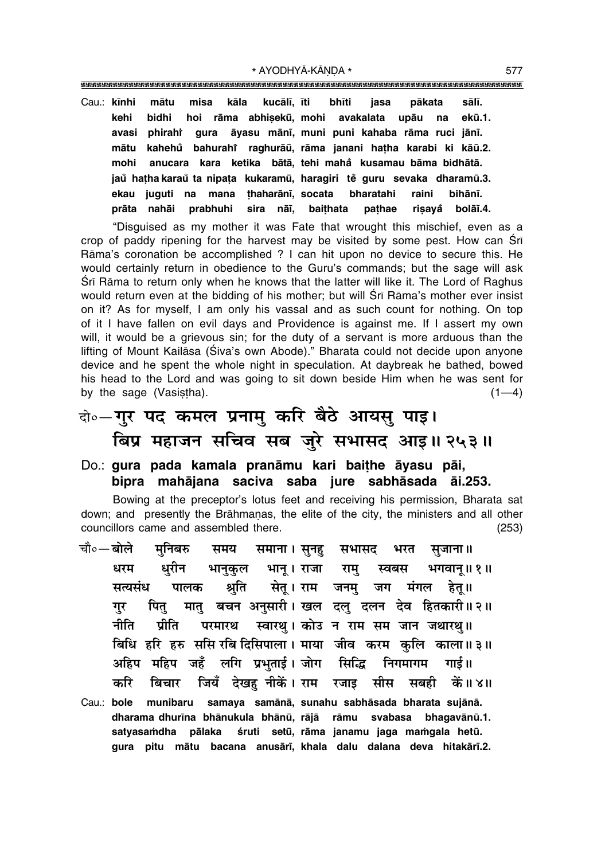""""""""""""""""""""""""""""""""""""""""""""""""""""""""""""""""""""""""""""""""""" \* AYODHYĀ-KĀNDA \* 577

Cau.: **k∂nhi måtu misa kåla kucål∂, ∂ti bh∂ti jasa påkata sål∂. kehi bidhi hoi råma abhi¶ekµu, mohi avakalata upåu na ekµu.1. avasi phirahiÚ gura åyasu mån∂, muni puni kahaba råma ruci jån∂. måtu kahehu bahurahi ° Ú raghuråµu, råma janani ha¢ha karabi ki kåµu.2. mohi anucara kara ketika båtå, tehi maha° kusamau båma bidhåtå. jau ha¢ha karau ° ta nipa¢a ° kukaramµu, haragiri te guru sevaka dharamµu.3. ° ekau juguti na mana ¢haharån∂, socata bharatahi raini bihån∂. pråta nahåi prabhuhi sira nå∂, bai¢hata pa¢hae ri¶aya° bolå∂.4.**

ìDisguised as my mother it was Fate that wrought this mischief, even as a crop of paddy ripening for the harvest may be visited by some pest. How can Srī Råmaís coronation be accomplished ? I can hit upon no device to secure this. He would certainly return in obedience to the Guru's commands; but the sage will ask Srī Rāma to return only when he knows that the latter will like it. The Lord of Raghus would return even at the bidding of his mother; but will Śrī Rāma's mother ever insist on it? As for myself, I am only his vassal and as such count for nothing. On top of it I have fallen on evil days and Providence is against me. If I assert my own will, it would be a grievous sin; for the duty of a servant is more arduous than the lifting of Mount Kailāsa (Śiva's own Abode)." Bharata could not decide upon anyone device and he spent the whole night in speculation. At daybreak he bathed, bowed his head to the Lord and was going to sit down beside Him when he was sent for by the sage (Vasistha).  $(1-4)$ 

# दो∘—**गुर पद कमल प्रनामु करि बैठे आयसु पाइ।** बिप्र महाजन सचिव सब जुरे सभासद आइ॥ २५३॥

#### Do.: **gura pada kamala pranåmu kari bai¢he åyasu påi, bipra mahåjana saciva saba jure sabhåsada åi.253.**

Bowing at the preceptor's lotus feet and receiving his permission, Bharata sat down; and presently the Brāhmanas, the elite of the city, the ministers and all other councillors came and assembled there. (253)

- <sup>.चौ०</sup>─बोले मुनिबरु समय समाना। सुनह सभासद भरत सुजाना॥ धरम धुरीन भानुकुल भानू।**राजा राम् स्वबस भगवान्॥१॥** 'सत्यसंध पालक श्रुति सेत् । राम जनम् जग मंगल हेत् ।। <u>ग</u>ुर पितु मातु बचन अनुसारी । खल दलु दलन देव हितकारी ॥ २ ॥ <u>नीति प्रीति परमारथ स्वारथ। कोउ न राम सम जान जथारथ</u>॥ **बिधि हरि हरु ससि रबि दिसिपाला। माया जीव करम कलि काला॥३॥** <u>अहिप महिप जहँ लगि प्रभुताई। जोग सिद्धि निगमागम गाई॥</u> करि बिचार जियँ देखह**ूनीकें। राम रजाइ सीस सबही कें॥४**॥ Cau.: **bole munibaru samaya samånå, sunahu sabhåsada bharata sujånå.**
- dharama dhurīna bhānukula bhānū, rājā rāmu svabasa bhagavānū.1. satyasamdha pālaka śruti setū, rāma janamu jaga mamgala hetū. **gura pitu måtu bacana anusår∂, khala dalu dalana deva hitakår∂.2.**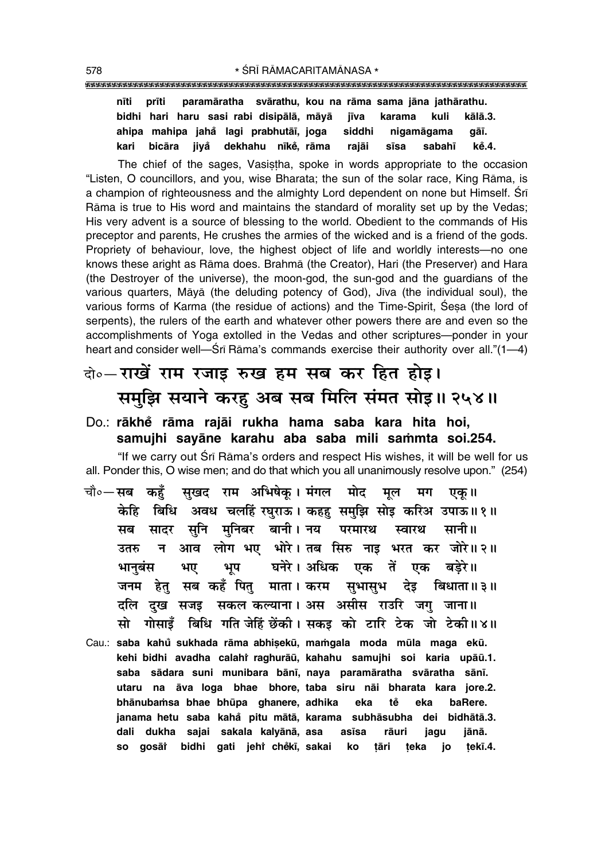"""""""""""""""""""""""""""""""""""""""""""""""""""""""""""""""""""""""""""""""""""

|  |  | nīti  prīti  paramāratha  svārathu, kou na rāma sama jāna jathārathu. |  |  |  |
|--|--|-----------------------------------------------------------------------|--|--|--|
|  |  | bidhi hari haru sasi-rabi-disipālā, māyā jīva karama kuli- kālā.3.    |  |  |  |
|  |  | ahipa mahipa jahă lagi prabhutāī, joga  siddhi  nigamāgama  gāī.      |  |  |  |
|  |  | kari bicāra jiyå dekhahu nīkė, rāma rajāi sīsa sabahī kė̃.4.          |  |  |  |

The chief of the sages, Vasistha, spoke in words appropriate to the occasion "Listen, O councillors, and you, wise Bharata; the sun of the solar race, King Rāma, is a champion of righteousness and the almighty Lord dependent on none but Himself. Śrī Råma is true to His word and maintains the standard of morality set up by the Vedas; His very advent is a source of blessing to the world. Obedient to the commands of His preceptor and parents, He crushes the armies of the wicked and is a friend of the gods. Propriety of behaviour, love, the highest object of life and worldly interests—no one knows these aright as Råma does. Brahmå (the Creator), Hari (the Preserver) and Hara (the Destroyer of the universe), the moon-god, the sun-god and the guardians of the various quarters, Māyā (the deluding potency of God), Jīva (the individual soul), the various forms of Karma (the residue of actions) and the Time-Spirit, Sesa (the lord of serpents), the rulers of the earth and whatever other powers there are and even so the accomplishments of Yoga extolled in the Vedas and other scriptures-ponder in your heart and consider well—Śrī Rāma's commands exercise their authority over all."(1—4)

### दो**०–राखें राम रजाइ रुख हम सब कर हित होइ।** समुझि सयाने करहु अब सब मिलि संमत सोइ॥ २५४॥

#### Do.: **råkhe° råma rajåi rukha hama saba kara hita hoi,** samujhi sayāne karahu aba saba mili sammta soi.254.

"If we carry out Śrī Rāma's orders and respect His wishes, it will be well for us all. Ponder this, O wise men; and do that which you all unanimously resolve upon." (254)

- चौ०—सब कहँ सखद राम अभिषेक् । मंगल मोद मूल मग एक् ॥ केहि बिधि अवध चलहिं रघुराऊ। कहहु समुझि सोइ करिअ उपाऊ॥१॥ सब सादर सुनि मुनिबर बानी।**नय परमारथ स्वारथ सानी**॥ उतरु न आव लोग**भए भोरे। तब सिरु नाइ भरत कर जोरे॥२॥** भानुबंस भए भूप घनेरे।अधिक एक तें एक बडेरे॥ जनम हेतु सब कहँ पितु माता। करम सुभासुभ देइ बिधाता॥३॥ दलि दख सजइ सकल**कल्याना। अस असीस राउरि जग जाना**॥ सो गोसाइँ बिधि गति जेहिं छेंकी । सकइ को टारि टेक जो टेकी॥४॥
- Cau.: saba kahů sukhada rāma abhișekū, mamgala moda mūla maga ekū. kehi bidhi avadha calahi raghurāū, kahahu samujhi soi karia upāū.1. **saba sådara suni munibara bån∂, naya paramåratha svåratha sån∂. utaru na åva loga bhae bhore, taba siru nåi bharata kara jore.2. bhånuba≈sa bhae bhµupa ghanere, adhika eka te° eka baRere. janama hetu saba kaha° pitu måtå, karama subhåsubha dei bidhåtå.3. dali dukha sajai sakala kalyånå, asa as∂sa råuri jagu jånå. so gosåiÚ bidhi gati jehiÚ che°k∂, sakai ko ¢åri ¢eka jo ¢ek∂.4.**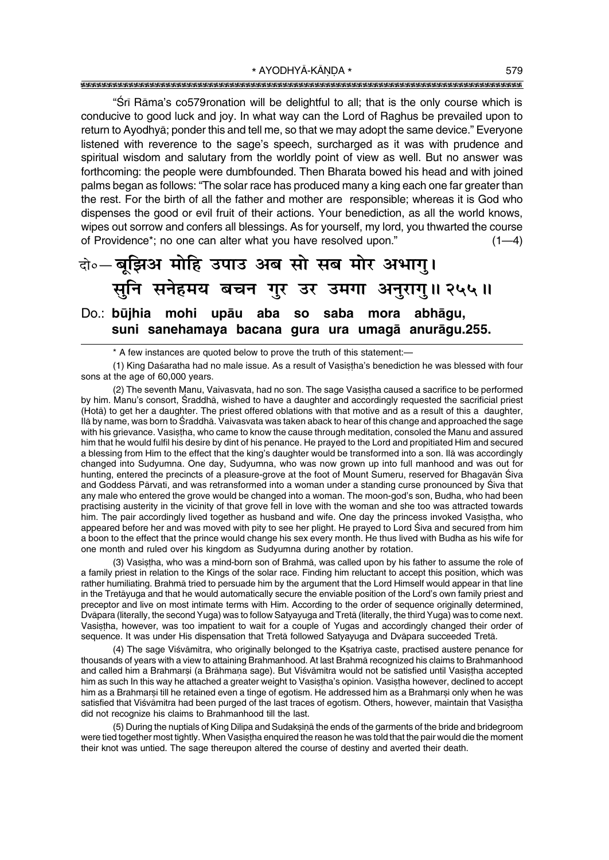"Srī Rāma's co579ronation will be delightful to all; that is the only course which is conducive to good luck and joy. In what way can the Lord of Raghus be prevailed upon to return to Ayodhya; ponder this and tell me, so that we may adopt the same device." Everyone listened with reverence to the sage's speech, surcharged as it was with prudence and spiritual wisdom and salutary from the worldly point of view as well. But no answer was forthcoming: the people were dumbfounded. Then Bharata bowed his head and with joined palms began as follows: "The solar race has produced many a king each one far greater than the rest. For the birth of all the father and mother are responsible; whereas it is God who dispenses the good or evil fruit of their actions. Your benediction, as all the world knows, wipes out sorrow and confers all blessings. As for yourself, my lord, you thwarted the course of Providence\*; no one can alter what you have resolved upon."  $(1-4)$ 

### दो॰- बृझिअ मोहि उपाउ अब सो सब मोर अभागु। सूनि सनेहमय बचन गुर उर उमगा अनुरागु॥ २५५॥ Do.: būjhia mohi upāu aba so saba mora abhāgu, suni sanehamaya bacana gura ura umagā anurāgu.255.

\* A few instances are quoted below to prove the truth of this statement:-

(1) King Daśaratha had no male issue. As a result of Vasistha's benediction he was blessed with four sons at the age of 60,000 years.

(2) The seventh Manu, Vaivasvata, had no son. The sage Vasistha caused a sacrifice to be performed by him. Manu's consort, Sraddhā, wished to have a daughter and accordingly requested the sacrificial priest (Hota) to get her a daughter. The priest offered oblations with that motive and as a result of this a daughter, Ilā by name, was born to Śraddhā. Vaivasvata was taken aback to hear of this change and approached the sage with his grievance. Vasistha, who came to know the cause through meditation, consoled the Manu and assured him that he would fulfil his desire by dint of his penance. He prayed to the Lord and propitiated Him and secured a blessing from Him to the effect that the king's daughter would be transformed into a son. Ilā was accordingly changed into Sudyumna. One day, Sudyumna, who was now grown up into full manhood and was out for hunting, entered the precincts of a pleasure-grove at the foot of Mount Sumeru, reserved for Bhagavan Siva and Goddess Pārvatī, and was retransformed into a woman under a standing curse pronounced by Śiva that any male who entered the grove would be changed into a woman. The moon-god's son, Budha, who had been practising austerity in the vicinity of that grove fell in love with the woman and she too was attracted towards him. The pair accordingly lived together as husband and wife. One day the princess invoked Vasistha, who appeared before her and was moved with pity to see her plight. He prayed to Lord Siva and secured from him a boon to the effect that the prince would change his sex every month. He thus lived with Budha as his wife for one month and ruled over his kingdom as Sudyumna during another by rotation.

(3) Vasistha, who was a mind-born son of Brahma, was called upon by his father to assume the role of a family priest in relation to the Kings of the solar race. Finding him reluctant to accept this position, which was rather humiliating. Brahmā tried to persuade him by the argument that the Lord Himself would appear in that line in the Tretayuga and that he would automatically secure the enviable position of the Lord's own family priest and preceptor and live on most intimate terms with Him. According to the order of sequence originally determined, Dvāpara (literally, the second Yuga) was to follow Satyayuga and Tretā (literally, the third Yuga) was to come next. Vasistha, however, was too impatient to wait for a couple of Yugas and accordingly changed their order of sequence. It was under His dispensation that Tretā followed Satyayuga and Dvāpara succeeded Tretā.

(4) The sage Viśvāmitra, who originally belonged to the Kṣatriya caste, practised austere penance for thousands of years with a view to attaining Brahmanhood. At last Brahma recognized his claims to Brahmanhood and called him a Brahmarsi (a Brāhmana sage). But Viśvāmitra would not be satisfied until Vasistha accepted him as such In this way he attached a greater weight to Vasistha's opinion. Vasistha however, declined to accept him as a Brahmarsi till he retained even a tinge of egotism. He addressed him as a Brahmarsi only when he was satisfied that Viśvāmitra had been purged of the last traces of egotism. Others, however, maintain that Vasistha did not recognize his claims to Brahmanhood till the last.

(5) During the nuptials of King Dilipa and Sudaksina the ends of the garments of the bride and bridegroom were tied together most tightly. When Vasistha enguired the reason he was told that the pair would die the moment their knot was untied. The sage thereupon altered the course of destiny and averted their death.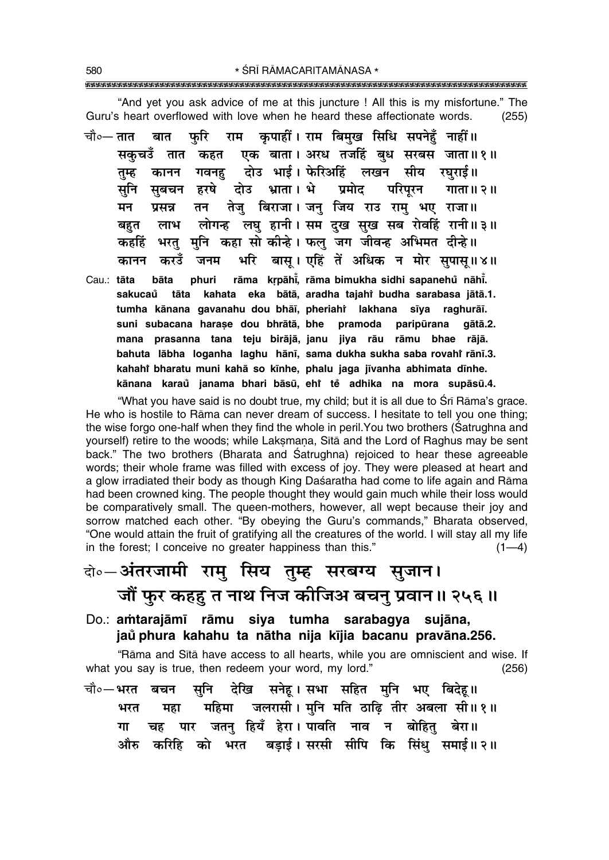"And yet you ask advice of me at this juncture ! All this is my misfortune." The Guru's heart overflowed with love when he heard these affectionate words.  $(255)$ 

राम कृपाहीं। राम बिमुख सिधि सपनेहँ नाहीं॥ चौ∘— तात बात फरि एक बाता। अरध तजहिं बुध सरबस जाता॥१॥ सकचउँ तात कहत दोउ भाई। फेरिअहिं लखन सीय रघराई॥ कानन गवनह तम्ह सबचन हरषे दोउ भ्राता। भे प्रमोट परिपरन गाता ॥ २ ॥ सनि तन तेजु बिराजा। जनु जिय राउ रामु भए राजा॥ प्रसन्न मन लोगन्ह लघु हानी। सम दुख सुख सब रोवहिं रानी॥३॥ लाभ बहत भरत मनि कहा सो कीन्हे। फल जग जीवन्ह अभिमत दीन्हे ।। कहहिं भरि बास। एहिं तें अधिक न मोर सपास॥४॥ करउँ जनम कानन Cau.: tāta bāta phuri rāma krpāhi, rāma bimukha sidhi sapanehů nāhi. sakucaŭ tāta kahata eka bātā, aradha tajahi budha sarabasa jātā.1. tumha kānana gavanahu dou bhāi, pheriahi lakhana sīya raghurāi. suni subacana harașe dou bhrātā, bhe pramoda paripūrana gātā.2. mana prasanna tana teju birājā, janu jiya rāu rāmu bhae rājā. bahuta lābha loganha laghu hānī, sama dukha sukha saba rovahi rānī.3.

"What you have said is no doubt true, my child; but it is all due to Srī Rāma's grace. He who is hostile to Rāma can never dream of success. I hesitate to tell you one thing; the wise forgo one-half when they find the whole in peril. You two brothers (Satrughna and yourself) retire to the woods; while Laksmana, Sita and the Lord of Raghus may be sent back." The two brothers (Bharata and Śatrughna) rejoiced to hear these agreeable words; their whole frame was filled with excess of joy. They were pleased at heart and a glow irradiated their body as though King Daśaratha had come to life again and Rāma had been crowned king. The people thought they would gain much while their loss would be comparatively small. The queen-mothers, however, all wept because their joy and sorrow matched each other. "By obeying the Guru's commands," Bharata observed, "One would attain the fruit of gratifying all the creatures of the world. I will stay all my life in the forest; I conceive no greater happiness than this."  $(1-4)$ 

kahahi bharatu muni kahā so kīnhe, phalu jaga jīvanha abhimata dīnhe. kānana karaŭ janama bhari bāsū, ehi te adhika na mora supāsū.4.

# वो॰–अंतरजामी रामु सिय तुम्ह सरबग्य सुजान। जौं फुर कहहु त नाथ निज कीजिअ बचनु प्रवान॥ २५६॥

Do.: amtarajāmī rāmu siya tumha sarabagya sujāna, jaŭ phura kahahu ta nātha nija kījia bacanu pravāna.256.

"Rāma and Sītā have access to all hearts, while you are omniscient and wise. If what you say is true, then redeem your word, my lord."  $(256)$ 

चौ०—भरत देखि सनेह।सभा सहित मनि भए बिदेह॥ सनि बचन महिमा जलरासी। मुनि मति ठाढ़ि तीर अबला सी॥१॥ भरत मद्रा चह पार जतन् हियँ हेरा। पावति नाव न बोहित् बेरा॥ गा औरु करिहि को भरत बडाई।सरसी सीपि कि सिंधु समाई॥२॥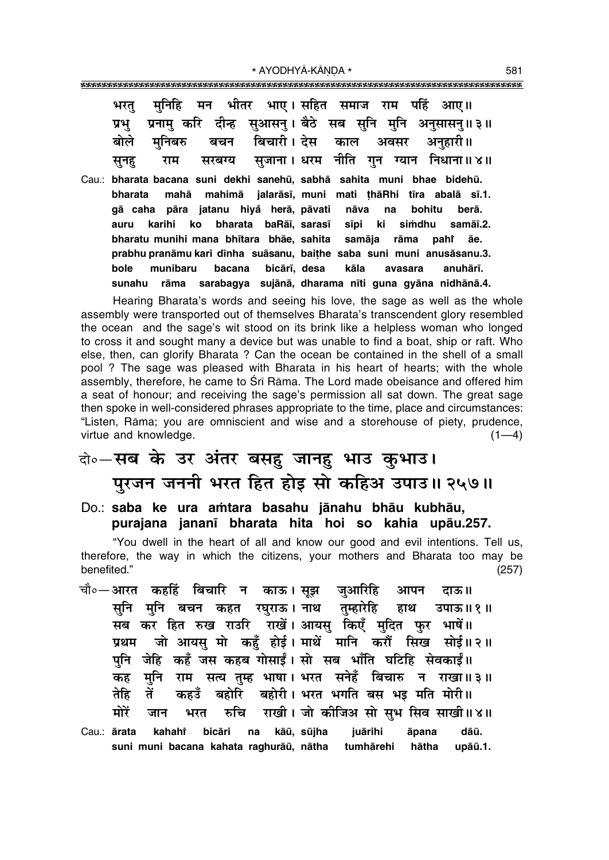|  | भरतु मुनिहि मन भीतर भाए।सहित समाज राम पहिं आए॥                |  |  |
|--|---------------------------------------------------------------|--|--|
|  | प्रभु प्रनामु करि दीन्ह सुआसनु। बैठे सब सुनि मुनि अनुसासनु॥३॥ |  |  |
|  | बोले मुनिबरु बचन बिचारी।देस काल अवसर अनुहारी॥                 |  |  |
|  | सुनहु राम सरबग्य सुजाना । धरम नीति गुन ग्यान निधाना ॥ ४॥      |  |  |

Cau.: bharata bacana suni dekhi sanehū, sabhā sahita muni bhae bidehū. mahā mahimā jalarāsī, muni mati thāRhi tīra abalā sī.1. bharata gā caha pāra jatanu hiyå herā, pāvati berā. nāva na bohitu bharata baRāī, sarasī samāī.2. auru karihi ko sīpi ki simdhu bharatu munihi mana bhītara bhāe, sahita samāia rāma paht āе. prabhu pranāmu kari dīnha suāsanu, baithe saba suni muni anusāsanu.3. bicārī, desa bole munibaru bacana kāla avasara anuhārī. sunahu rāma sarabagya sujānā, dharama nīti guna gyāna nidhānā.4.

Hearing Bharata's words and seeing his love, the sage as well as the whole assembly were transported out of themselves Bharata's transcendent glory resembled the ocean and the sage's wit stood on its brink like a helpless woman who longed to cross it and sought many a device but was unable to find a boat, ship or raft. Who else, then, can glorify Bharata? Can the ocean be contained in the shell of a small pool ? The sage was pleased with Bharata in his heart of hearts; with the whole assembly, therefore, he came to Sri Rama. The Lord made obeisance and offered him a seat of honour; and receiving the sage's permission all sat down. The great sage then spoke in well-considered phrases appropriate to the time, place and circumstances: "Listen, Rāma; you are omniscient and wise and a storehouse of piety, prudence, virtue and knowledge.  $(1-4)$ 

### वो०-सब के उर अंतर बसह जानह भाउ कुभाउ। पुरजन जननी भरत हित होड़ सो कहिअ उपाउ॥ २५७॥

Do.: saba ke ura amtara basahu jānahu bhāu kubhāu, purajana jananī bharata hita hoi so kahia upāu.257.

"You dwell in the heart of all and know our good and evil intentions. Tell us, therefore, the way in which the citizens, your mothers and Bharata too may be benefited."  $(257)$ 

- चौ०—आरत कहहिं बिचारि न काऊ।सूझ जुआरिहि आपन दाऊ॥ सुनि मुनि बचन कहत रघुराऊ। नाथ तुम्हारेहि हाथ उपाऊ॥ १॥ सब कर हित रुख राउरि राखें। आयसु किएँ मुदित फुर भाषें॥ प्रथम जो आयसु मो कहँ होई। माथें मानि करों सिख सोई॥२॥ पुनि जेहि कहँ जस कहब गोसाईं। सो सब भाँति घटिहि सेवकाईं॥ मुनि राम सत्य तुम्ह भाषा। भरत सनेहँ बिचारु न राखा॥३॥ कह बहोरि बहोरी। भरत भगति बस भड़ मति मोरी॥ तें तेहि कहउँ मोरें राखी। जो कीजिअ सो सुभ सिव साखी॥४॥ रुचि जान भरत
- Cau.: ārata kahahi bicāri  $na$ kāū, sūjha juārihi āpana dāū. suni muni bacana kahata raghurāū, nātha tumhārehi hātha upāū.1.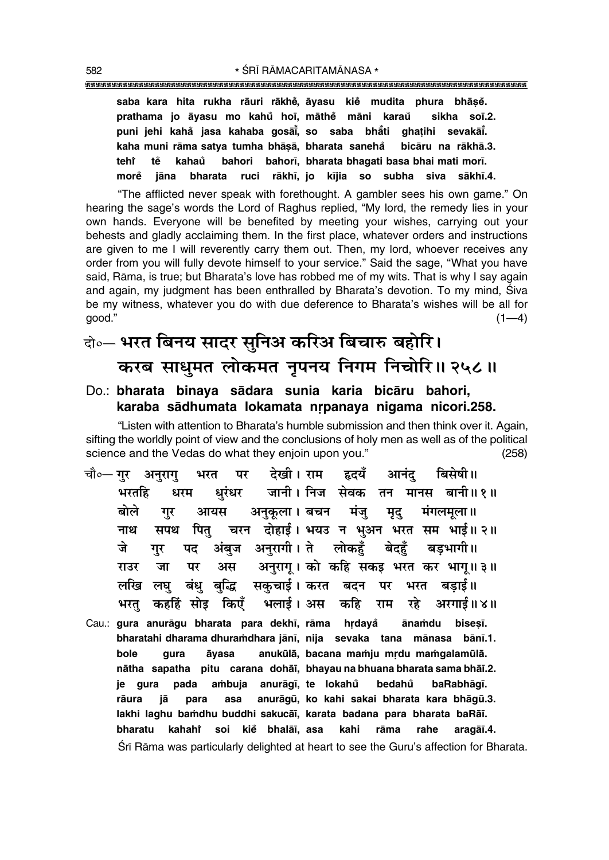**saba kara hita rukha råuri råkhe°, åyasu kie° mudita phura bhå¶e°. prathama jo åyasu mo kahu° ho∂, måthe° måni karau sikha so∂.2. ° puni jehi kaha° jasa kahaba goså∂° , so saba bhå° ti gha¢ihi sevakå∂° . kaha muni råma satya tumha bhå¶å, bharata saneha° bicåru na råkhå.3. tehiÚ te° kahau bahori bahor∂, bharata bhagati basa bhai mati mor∂. ° more° jåna bharata ruci råkh∂, jo k∂jia so subha siva såkh∂.4.**

ìThe afflicted never speak with forethought. A gambler sees his own game.î On hearing the sage's words the Lord of Raghus replied, "My lord, the remedy lies in your own hands. Everyone will be benefited by meeting your wishes, carrying out your behests and gladly acclaiming them. In the first place, whatever orders and instructions are given to me I will reverently carry them out. Then, my lord, whoever receives any order from you will fully devote himself to your service." Said the sage, "What you have said, Rāma, is true; but Bharata's love has robbed me of my wits. That is why I say again and again, my judgment has been enthralled by Bharata's devotion. To my mind, Siva be my witness, whatever you do with due deference to Bharata's wishes will be all for good."  $(1-4)$ 

### दो**०– भरत बिनय सादर सुनिअ करिअ बिचारु बहोरि। करब साधुमत लोकमत नृपनय निगम निचोरि॥ २५८॥**

#### Do.: **bharata binaya sådara sunia karia bicåru bahori,** karaba sādhumata lokamata nrpanaya nigama nicori.258.

"Listen with attention to Bharata's humble submission and then think over it. Again, sifting the worldly point of view and the conclusions of holy men as well as of the political science and the Vedas do what they enjoin upon you." (258)

- चौ०— गर अनुराग भरत पर देखी।**राम हृदयँ आनंदु बिसेषी**॥  $\frac{4}{3}$ सतिंद्र धरम धरंधर जानी। निज**सेवकतन मानस बानी॥** १॥ े**बोले गुर आयस अनुकूला। बचन मंजु मृदु मंग**लमूला॥ <u>नाथ सपथ पितु चरन दोहाई। भयउ न भअन भरत सम भाई॥ २॥</u> जे गर पद अंबुज अनुरागी।**ते लोकहँ बेदहँ बडभागी**॥ **⁄UET • 715 / UIC** • अस । अनुरागू । को कहि सकइ भरत कर भागू॥३॥ लखि लघु बंधु बद्धि सकुचाई।करत बदन पर भरत बडाई॥ भरत कहहिं सोड़ किएँ भलाई। अस कहि राम रहे अरगाई॥४॥
- Cau.: **gura anurāgu bharata para dekhī, rāma hrdayǎ ānamdu bisesī. bharatahi dharama dhura≈dhara jån∂, nija sevaka tana månasa bån∂.1.** bole gura āyasa anukūlā, bacana mamju mrdu mamgalamūlā. **nåtha sapatha pitu carana dohå∂, bhayau na bhuana bharata sama bhå∂.2. je gura pada a≈buja anuråg∂, te lokahu bedahu ° baRabhåg∂. °** rāura jā para asa anurāgū, ko kahi sakai bharata kara bhāgū.3. **lakhi laghu ba≈dhu buddhi sakucå∂, karata badana para bharata baRå∂. bharatu kahahiÚ soi kie° bhalå∂, asa kahi råma rahe aragå∂.4.** Srī Rāma was particularly delighted at heart to see the Guru's affection for Bharata.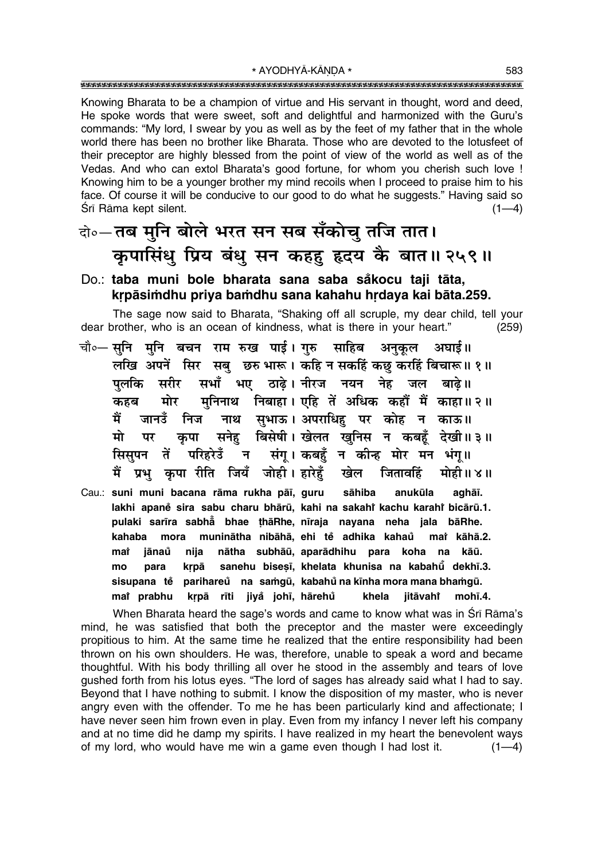Knowing Bharata to be a champion of virtue and His servant in thought, word and deed, He spoke words that were sweet, soft and delightful and harmonized with the Guru's commands: "My lord, I swear by you as well as by the feet of my father that in the whole world there has been no brother like Bharata. Those who are devoted to the lotusfeet of their preceptor are highly blessed from the point of view of the world as well as of the Vedas. And who can extol Bharata's good fortune, for whom you cherish such love ! Knowing him to be a younger brother my mind recoils when I proceed to praise him to his face. Of course it will be conducive to our good to do what he suggests." Having said so Śrī Rāma kept silent.  $(1-4)$ 

### वे०-तब मुनि बोले भरत सन सब सँकोच तजि तात। कृपासिंधु प्रिय बंधु सन कहहु हृदय के बात॥ २५९॥

#### Do.: taba muni bole bharata sana saba såkocu taji tāta, krpāsimdhu priya bamdhu sana kahahu hrdaya kai bāta.259.

The sage now said to Bharata, "Shaking off all scruple, my dear child, tell your dear brother, who is an ocean of kindness, what is there in your heart."  $(259)$ 

- चौ०— सुनि मुनि बचन राम रुख पाई। गुरु साहिब अनुकूल अघाई॥ लखि अपनें सिर सबु छरु भारू। कहि न सकहिं कछु करहिं बिचारू॥ १॥ सरीर सभाँ भए ठाढे। नीरज नयन नेह जल बाढे॥ पलकि मुनिनाथ निबाहा। एहि तें अधिक कहौं मैं काहा॥२॥ मोर कहब नाथ सुभाऊ। अपराधिहु पर कोह न काऊ॥ मैं जानउँ निज कपा सनेह बिसेषी। खेलत खनिस न कबहँ देखी॥३॥ मो पर न संगू। कबहुँ न कीन्ह मोर मन भंगू॥ सिसुपन तें परिहरेउँ मैं प्रभु कुपा रीति जियँ जोही। हारेहूँ खेल जितावहिं मोही॥४॥
- Cau.: suni muni bacana rāma rukha pāī, guru sāhiba anukūla aghāī. lakhi apaně sira sabu charu bhārū, kahi na sakahi kachu karahi bicārū.1. pulaki sarīra sabhā bhae thāRhe, nīraja nayana neha jala bāRhe. kahaba mora muninātha nibāhā, ehi tě adhika kahaů mat kāhā.2. jānaů nija nātha subhāū, aparādhihu para koha na kāū. mat sanehu bisesī, khelata khunisa na kabahū dekhī.3. mo para krpā sisupana tě parihareů na samqū, kabahů na kīnha mora mana bhamqū. mai prabhu kṛpā rīti jiyå johī, hārehů khela jitāvahi mohī.4.

When Bharata heard the sage's words and came to know what was in Srī Rāma's mind, he was satisfied that both the preceptor and the master were exceedingly propitious to him. At the same time he realized that the entire responsibility had been thrown on his own shoulders. He was, therefore, unable to speak a word and became thoughtful. With his body thrilling all over he stood in the assembly and tears of love qushed forth from his lotus eyes. "The lord of sages has already said what I had to say. Beyond that I have nothing to submit. I know the disposition of my master, who is never angry even with the offender. To me he has been particularly kind and affectionate; I have never seen him frown even in play. Even from my infancy I never left his company and at no time did he damp my spirits. I have realized in my heart the benevolent ways of my lord, who would have me win a game even though I had lost it.  $(1-4)$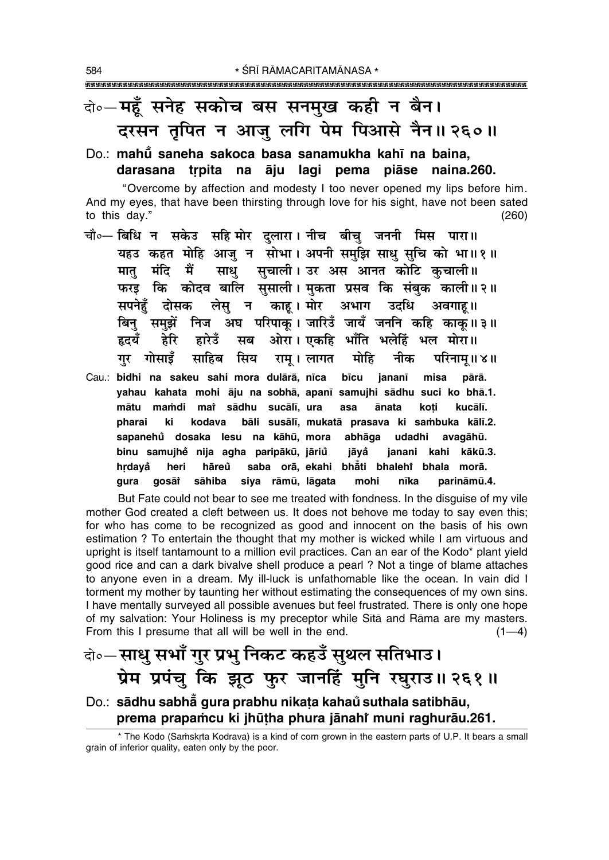### वो०-महँ सनेह सकोच बस सनमुख कही न बैन। दरसन तृपित न आजु लगि पेम पिआसे नैन॥ २६०॥

Do.: mahū saneha sakoca basa sanamukha kahī na baina, darasana trpita na āju lagi pema piāse naina.260.

"Overcome by affection and modesty I too never opened my lips before him. And my eyes, that have been thirsting through love for his sight, have not been sated to this day."  $(260)$ 

- चौ०— बिधि न सकेउ सहि मोर दुलारा। नीच बीचु जननी मिस पारा॥ यहउ कहत मोहि आजु न सोभा। अपनी समुझि साधु सुचि को भा॥१॥ मात मंदि मैं साध सचाली। उर अस आनत कोटि कचाली॥ फरड़ कि कोदव बालि सुसाली। मुकता प्रसव कि संबुक काली॥२॥ काह। मोर अभाग उदधि सपनेहँ दोसक लेस न अवगाह।। बिनु समुझें निज अघ परिपाकू। जारिउँ जायँ जननि कहि काकुं॥३॥ ओरा। एकहि भाँति भलेहिं भल मोरा॥ हृदयँ द्रेरि द्वारेउँ सब गुर गोसाइँ सिय साहिब राम् । लागत मोहि नीक परिनाम् ॥ ४ ॥
- Cau.: bidhi na sakeu sahi mora dulārā, nīca bīcu jananī misa pārā. yahau kahata mohi āju na sobhā, apanī samujhi sādhu suci ko bhā.1. mātu mamdi mat sādhu sucālī, ura ānata kucālī. asa koti pharai kodava ki bāli susālī, mukatā prasava ki sambuka kālī.2. sapanehů dosaka lesu na kāhū, mora abhāga udadhi avagāhū. binu samujhě nija agha paripākū, jāriů jāvå janani kahi kākū.3. hrdayå heri hāreů saba orā, ekahi bhāti bhalehi bhala morā. qura gosāi sāhiba siya rāmū, lāgata mohi parināmū.4. nīka

But Fate could not bear to see me treated with fondness. In the disguise of my vile mother God created a cleft between us. It does not behove me today to say even this; for who has come to be recognized as good and innocent on the basis of his own estimation ? To entertain the thought that my mother is wicked while I am virtuous and upright is itself tantamount to a million evil practices. Can an ear of the Kodo\* plant yield good rice and can a dark bivalve shell produce a pearl ? Not a tinge of blame attaches to anyone even in a dream. My ill-luck is unfathomable like the ocean. In vain did I torment my mother by taunting her without estimating the consequences of my own sins. I have mentally surveyed all possible avenues but feel frustrated. There is only one hope of my salvation: Your Holiness is my preceptor while Sītā and Rāma are my masters. From this I presume that all will be well in the end.  $(1-4)$ 

### वे॰—साधु सभाँ गुर प्रभु निकट कहउँ सुथल सतिभाउ। प्रेम प्रपंचु कि झूठ फुर जानहिं मुनि रघुराउ॥ २६१॥

### Do.: sādhu sabha gura prabhu nikața kahaŭ suthala satibhāu, prema prapamcu ki jhūtha phura jānahi muni raghurāu.261.

\* The Kodo (Samskrta Kodrava) is a kind of corn grown in the eastern parts of U.P. It bears a small grain of inferior quality, eaten only by the poor.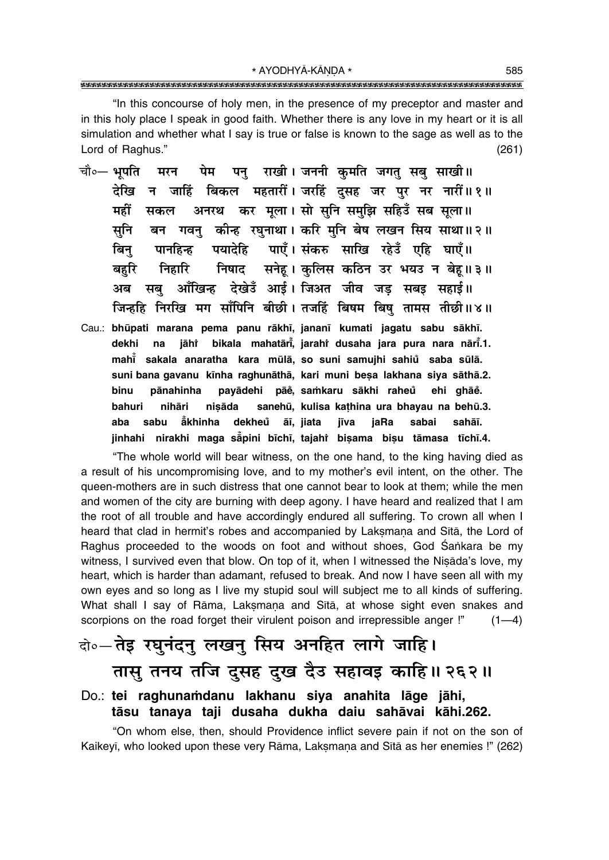\* AYODHYĀ-KĀNDA \* 

"In this concourse of holy men, in the presence of my preceptor and master and in this holy place I speak in good faith. Whether there is any love in my heart or it is all simulation and whether what I say is true or false is known to the sage as well as to the Lord of Raghus."  $(261)$ 

- पन राखी। जननी कमति जगत सब साखी॥ चौ०— भपति पेम मरन देखि न जाहिं बिकल महतारीं। जरहिं दसह जर पर नर नारीं॥१॥ अनरथ कर मूला। सो सुनि समुझि सहिउँ सब सूला॥ महीं सकल बन गवनु कीन्ह रघुनाथा। करि मुनि बेष लखन सिय साथा॥२॥ सनि पयादेहि पाएँ। संकरु साखि रहेउँ एहि घाएँ॥ बिन पानहिन्ह निषाद सनेहू। कुलिस कठिन उर भयउ न बेह॥३॥ बहरि निर्हारि आँखिन्ह देखेउँ आई। जिअत जीव जड सबइ सहाई॥ अब सब जिन्हहि निरखि मग साँपिनि बीछी। तजहिं बिषम बिषु तामस तीछी॥४॥
- Cau.: bhūpati marana pema panu rākhī, jananī kumati jagatu sabu sākhī. jāhi bikala mahatārī, jarahi dusaha jara pura nara nārī.1. dekhi na mahi sakala anaratha kara mūlā, so suni samujhi sahiu saba sūlā. suni bana gavanu kīnha raghunāthā, kari muni besa lakhana siya sāthā.2. binu pānahinha payādehi pāě, samkaru sākhi raheů ehi ghāe. bahuri nihāri nisāda sanehū, kulisa kathina ura bhayau na behū.3. sabu ăkhinha dekheů āī, jiata aba jīva jaRa sabai sahāī. jinhahi nirakhi maga sapini bīchī, tajahi bisama bisu tāmasa tīchī.4.

"The whole world will bear witness, on the one hand, to the king having died as a result of his uncompromising love, and to my mother's evil intent, on the other. The queen-mothers are in such distress that one cannot bear to look at them; while the men and women of the city are burning with deep agony. I have heard and realized that I am the root of all trouble and have accordingly endured all suffering. To crown all when I heard that clad in hermit's robes and accompanied by Laksmana and Sītā, the Lord of Raghus proceeded to the woods on foot and without shoes, God Sankara be my witness, I survived even that blow. On top of it, when I witnessed the Nisada's love, my heart, which is harder than adamant, refused to break. And now I have seen all with my own eyes and so long as I live my stupid soul will subject me to all kinds of suffering. What shall I say of Rāma, Lakṣmaṇa and Sītā, at whose sight even snakes and scorpions on the road forget their virulent poison and irrepressible anger !"  $(1-4)$ 

# बे.- तेइ रघुनंदनु लखनु सिय अनहित लागे जाहि। तासु तनय तजि दुसह दुख दैउ सहावइ काहि॥ २६२॥

#### Do.: tei raghunamdanu lakhanu siya anahita lāge jāhi, tāsu tanaya taji dusaha dukha daiu sahāvai kāhi.262.

"On whom else, then, should Providence inflict severe pain if not on the son of Kaikeyī, who looked upon these very Rāma, Lakṣmaṇa and Sītā as her enemies !" (262)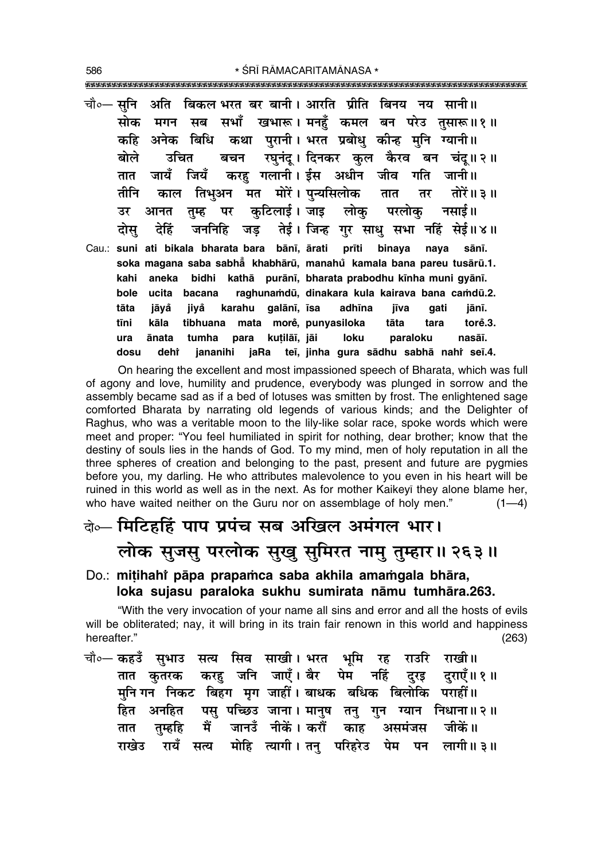|      |      |  | चौ∘— सुनि  अति  बिकल भरत बर बानी। आरति  प्रीति  बिनय  नय  सानी॥        |  |  |       |  |
|------|------|--|------------------------------------------------------------------------|--|--|-------|--|
|      |      |  | सोक मगन सब सभाँ खभारू। मनहुँ कमल बन परेउ तुसारू॥१॥                     |  |  |       |  |
|      |      |  | कहि अनेक बिधि कथा पुरानी। भरत प्रबोधु कीन्ह मुनि ग्यानी॥               |  |  |       |  |
|      |      |  | बोले उचित बचन रघुनंदू।।दिनकर कुल कैरव बन चंदू॥२॥                       |  |  |       |  |
|      |      |  | तात जायँ जियँ करहु गलानी।ईस अधीन जीव गति जानी॥                         |  |  |       |  |
|      |      |  | तीनि काल तिभुअन मत मोरें। पुन्यसिलोक तात तर तोरें॥३॥                   |  |  |       |  |
|      |      |  | उर आनत तुम्ह पर कुटिलाई।जाइ लोकु परलोकु नसाई॥                          |  |  |       |  |
|      |      |  | दोसु देहिं जननिहि जड़ तेई। जिन्ह गुर साधु सभा नहिं सेई॥४॥              |  |  |       |  |
|      |      |  | Cau.: suni ati bikala bharata bara bānī, ārati prīti binaya naya sānī. |  |  |       |  |
|      |      |  | soka magana saba sabha khabhārū, manahů kamala bana pareu tusārū.1.    |  |  |       |  |
| kahi |      |  | aneka bidhi kathā purānī, bharata prabodhu kīnha muni gyānī.           |  |  |       |  |
| bole |      |  | ucita bacana raghunamdū, dinakara kula kairava bana camdū.2.           |  |  |       |  |
| tāta | jāyå |  | jiyå karahu galānī, īsa adhīna jīva gati                               |  |  | jānī. |  |
| tīni | kāla |  | tibhuana mata morė, punyasiloka tāta tara torė.3.                      |  |  |       |  |
| ura  |      |  | ānata tumha para kuțilāi, jāi loku paraloku nasāi.                     |  |  |       |  |
| dosu |      |  | dehî jananihi jaRa teī, jinha gura sādhu sabhā nahî seī.4.             |  |  |       |  |

On hearing the excellent and most impassioned speech of Bharata, which was full of agony and love, humility and prudence, everybody was plunged in sorrow and the assembly became sad as if a bed of lotuses was smitten by frost. The enlightened sage comforted Bharata by narrating old legends of various kinds; and the Delighter of Raghus, who was a veritable moon to the lily-like solar race, spoke words which were meet and proper: "You feel humiliated in spirit for nothing, dear brother; know that the destiny of souls lies in the hands of God. To my mind, men of holy reputation in all the three spheres of creation and belonging to the past, present and future are pygmies before you, my darling. He who attributes malevolence to you even in his heart will be ruined in this world as well as in the next. As for mother Kaikeyi they alone blame her, who have waited neither on the Guru nor on assemblage of holy men."  $(1-4)$ 

# वेञ्- मिटिहर्हि पाप प्रपंच सब अखिल अमंगल भार। लोक सुजसु परलोक सुखु सुमिरत नामु तुम्हार॥ २६३॥

Do.: mitihahi pāpa prapamca saba akhila amamgala bhāra, loka sujasu paraloka sukhu sumirata nāmu tumhāra.263.

"With the very invocation of your name all sins and error and all the hosts of evils will be obliterated; nay, it will bring in its train fair renown in this world and happiness hereafter."  $(263)$ 

चौ०— कहउँ सुभाउ सत्य सिव साखी। भरत भूमि रह राउरि राखी॥ तात कुतरक करहु जनि जाएँ।ैबेर पेम नहिं दुरइ दुराएँ॥१॥ मनि गन निकट बिहंग मग जाहीं। बाधक बधिक बिलोकि पराहीं॥ हित अनहित पसु पच्छिउ जाना। मानुष तनु गुन ग्यान निधाना॥२॥ मैं जानउँ नीकें। करौँ काँह असमंजस जीकें॥ तम्हहि तात राखेउ रायँ सत्य मोहि त्यागी। तन् परिहरेउ पेम पन लागी॥३॥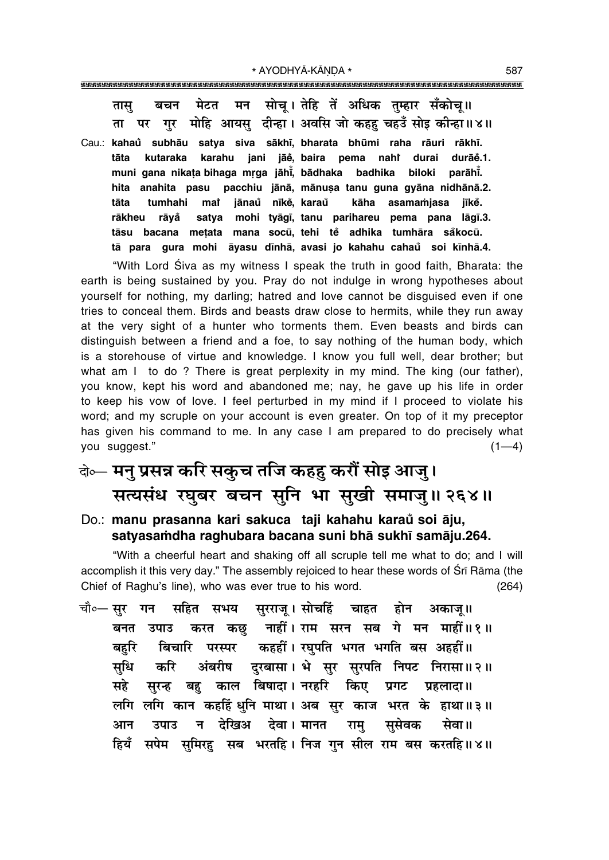मेटत मन सोच।तेहि तें अधिक तम्हार सँकोच॥ बचन तास पर गुर मोहि आयसु दीन्हा। अवसि जो कहह चहउँ सोइ कीन्हा॥४॥ ता

Cau.: kahaŭ subhāu satya siva sākhī, bharata bhūmi raha rāuri rākhī. tāta kutaraka karahu jani jāĕ, baira pema nahi durai durāĕ.1. muni gana nikata bihaga mrga jāhī, bādhaka badhika biloki parāhī. hita anahita pasu pacchiu jānā, mānusa tanu guna gyāna nidhānā.2. tāta tumhahi mat jānaů nīkė, karaů kāha asamamjasa jīkĕ. satya mohi tyāgī, tanu parihareu pema pana lāgī.3. rākheu rāvå bacana metata mana socū, tehi tě adhika tumhāra såkocū. tāsu tā para gura mohi āyasu dīnhā, avasi jo kahahu cahaŭ soi kīnhā.4.

"With Lord Siva as my witness I speak the truth in good faith, Bharata: the earth is being sustained by you. Pray do not indulge in wrong hypotheses about yourself for nothing, my darling; hatred and love cannot be disguised even if one tries to conceal them. Birds and beasts draw close to hermits, while they run away at the very sight of a hunter who torments them. Even beasts and birds can distinguish between a friend and a foe, to say nothing of the human body, which is a storehouse of virtue and knowledge. I know you full well, dear brother; but what am I to do? There is great perplexity in my mind. The king (our father), you know, kept his word and abandoned me; nay, he gave up his life in order to keep his vow of love. I feel perturbed in my mind if I proceed to violate his word; and my scruple on your account is even greater. On top of it my preceptor has given his command to me. In any case I am prepared to do precisely what you suggest."  $(1-4)$ 

### वेब्न मनु प्रसन्न करि सकुच तजि कहहु करौं सोइ आजु। सत्यसंध रघुबर बचन सुनि भा सुखी समाजु॥ २६४॥

Do.: manu prasanna kari sakuca taji kahahu karaŭ soi āju, satyasamdha raghubara bacana suni bha sukhī samāju.264.

"With a cheerful heart and shaking off all scruple tell me what to do; and I will accomplish it this very day." The assembly rejoiced to hear these words of Sri Rāma (the Chief of Raghu's line), who was ever true to his word.  $(264)$ 

चौ०— **सर गन** सहित सभय सुरराज् ।सोचहिं चाहत होन अकाज्॥ करत कछु नाहीं। राम सरन सब गे मन माहीं॥१॥ बनत उपाउ बिचारि परस्पर कहहीं। रघपति भगत भगति बस अहहीं॥ बहरि अंबरीष दुरबासा। भे सुर सुरपति निपट निरासा॥२॥ सधि करि सुरन्ह बहु काल बिषादा। नरहरि किए प्रगट महे प्रहलादा ॥ लगि लगि कान कहहिं धुनि माथा। अब सुर काज भरत के हाथा॥३॥ न देखिअ देवा।मानत राम् आन उपाउ ससेवक सेवा॥ हियँ सपेम समिरह सब भरतहि। निज गन सील राम बस करतहि॥४॥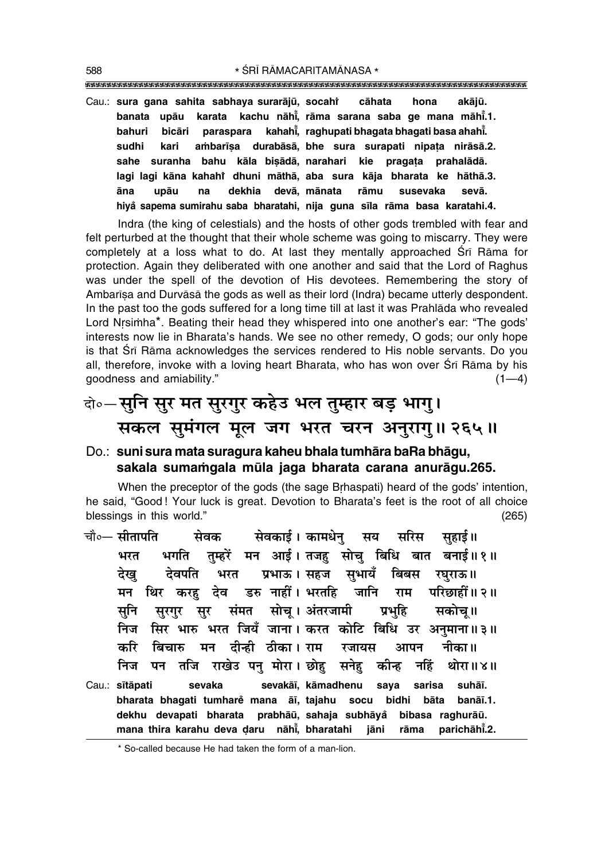Cau.: sura gana sahita sabhaya surarājū, socahi  **cåhata hona akåjµu. banata upåu karata kachu nåh∂° , råma sarana saba ge mana måh∂° .1. bahuri bicåri paraspara kahah∂° , raghupati bhagata bhagati basa ahah∂° . sudhi kari a≈bar∂¶a durabåså, bhe sura surapati nipa¢a niråså.2. sahe suranha bahu kåla bi¶ådå, narahari kie praga¢a prahalådå. lagi lagi kåna kahahiÚ dhuni måthå, aba sura kåja bharata ke håthå.3. åna upåu na dekhia devå, månata råmu susevaka sevå. hiya° sapema sumirahu saba bharatahi, nija guna s∂la råma basa karatahi.4.**

Indra (the king of celestials) and the hosts of other gods trembled with fear and felt perturbed at the thought that their whole scheme was going to miscarry. They were completely at a loss what to do. At last they mentally approached Śrī Rāma for protection. Again they deliberated with one another and said that the Lord of Raghus was under the spell of the devotion of His devotees. Remembering the story of Ambarīsa and Durvāsā the gods as well as their lord (Indra) became utterly despondent. In the past too the gods suffered for a long time till at last it was Prahlåda who revealed Lord Nrsimha\*. Beating their head they whispered into one another's ear: "The gods' interests now lie in Bharataís hands. We see no other remedy, O gods; our only hope is that Srī Rāma acknowledges the services rendered to His noble servants. Do you all, therefore, invoke with a loving heart Bharata, who has won over Śrī Rāma by his goodness and amiability."  $(1-4)$ 

# दो∘—सुनि सुर मत सुरगुर कहेउ भल तुम्हार बड़ भागु। सकल सुमंगल मूल जग भरत चरन अनुरागु॥ २६५॥

#### Do.: **suni sura mata suragura kaheu bhala tumhåra baRa bhågu,** sakala sumamgala mūla jaga bharata carana anurāgu.265.

When the preceptor of the gods (the sage Brhaspati) heard of the gods' intention, he said, "Good ! Your luck is great. Devotion to Bharata's feet is the root of all choice blessings in this world." (265)

चौ०— सीतापति सेवक सेवकार्ड। कामधेन सय सरिस सहाई॥ भरत भगति तुम्हरें मन आई। तजह सोचु बिधि बात बनाई॥१॥ देख**् देवपति भरत प्रभाऊ। सहज सुभायँ बिबस रघु**राऊ॥ <u>मन थिर करह देव डरु नाहीं। भरतहि जानि राम परिछाहीं॥२॥</u> सुनि सुरगुर सुर संमत सोचू।अंतरजामी प्रभुहि सकोचू॥ निज सिर भारु भरत जियँ जाना। करत कोटि बिधि उर अनुमाना॥३॥ करि बिचारु मन दीन्ही ठीका।**राम रजायस आपन नीका**॥ निज पन तजि राखेउ पनु मोरा। छोह सनेह कीन्ह नहिं थोरा॥४॥ Cau.: **s∂tåpati sevaka sevakå∂, kåmadhenu saya sarisa suhå∂. bharata bhagati tumhare° mana å∂, tajahu socu bidhi båta banå∂.1. dekhu devapati bharata prabhåµu, sahaja subhåya° bibasa raghuråµu. mana thira karahu deva Œaru nåh∂° , bharatahi jåni råma parichåh∂°** parichāhī.2.

\* So-called because He had taken the form of a man-lion.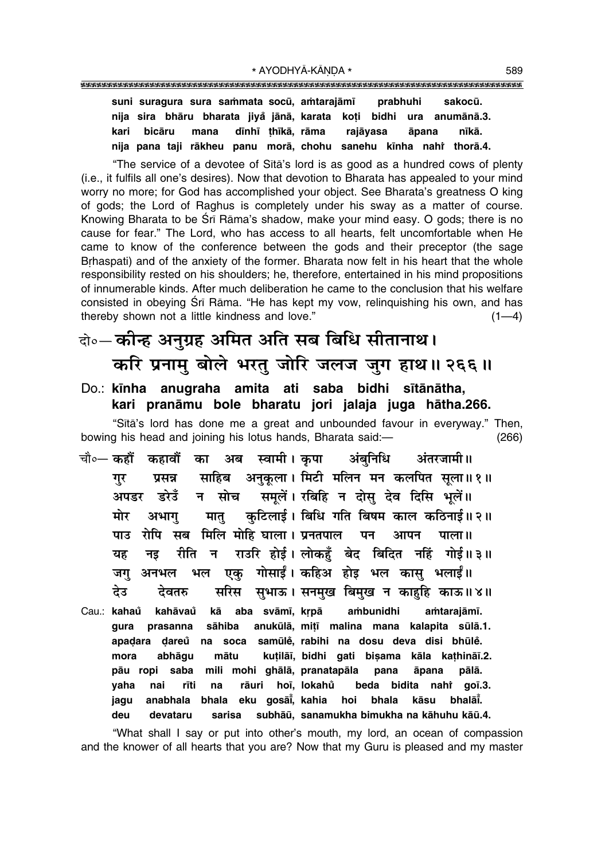"The service of a devotee of Sita's lord is as good as a hundred cows of plenty (i.e., it fulfils all one's desires). Now that devotion to Bharata has appealed to your mind worry no more; for God has accomplished your object. See Bharata's greatness O king of gods: the Lord of Raghus is completely under his sway as a matter of course. Knowing Bharata to be Srī Rāma's shadow, make your mind easy. O gods; there is no cause for fear." The Lord, who has access to all hearts, felt uncomfortable when He came to know of the conference between the gods and their preceptor (the sage Brhaspati) and of the anxiety of the former. Bharata now felt in his heart that the whole responsibility rested on his shoulders; he, therefore, entertained in his mind propositions of innumerable kinds. After much deliberation he came to the conclusion that his welfare consisted in obeying Srī Rāma. "He has kept my vow, relinquishing his own, and has thereby shown not a little kindness and love."  $(1-4)$ 

# वे॰-कीन्ह अनुग्रह अमित अति सब बिधि सीतानाथ। करि प्रनामु बोले भरतु जोरि जलज जुग हाथ॥ २६६॥

### Do.: kīnha anugraha amita ati saba bidhi sītānātha, kari pranāmu bole bharatu jori jalaja juga hātha.266.

"Sītā's lord has done me a great and unbounded favour in everyway." Then, bowing his head and joining his lotus hands, Bharata said:- $(266)$ 

- कहावौँ का अब स्वामी। कपा अंबनिधि चौ०— कहौं अंतरजामी॥ साहिब अनुकूला। मिटी मलिन मन कलपित सूला॥१॥ गर प्रसन्न समूलें। रबिहि न दोसु देव दिसि भूलें॥ डरेडँ मोच अपडर न कटिलाई। बिधि गति बिषम काल कठिनाई॥२॥ मोर अभाग मात् रोपि सब मिलि मोहि घाला। प्रनतपाल पाउ पन आपन पाला ॥ राउरि होई। लोकहुँ बेद बिदित नहिं गोई॥३॥ रीति न यह नड एकु गोसाईं। कहिअ होइ भल कासु भलाईं॥ भल जग अनभल देउ सरिस सुभाऊ। सनमुख बिमुख न काहृहि काऊ॥४॥ देवतरु
- Cau.: kahaů kahāvaů kā aba svāmī, krpā ambunidhi amtarajāmī. sāhiba anukūlā, mitī malina mana kalapita sūlā.1. prasanna gura apadara dareů na soca samūlě, rabihi na dosu deva disi bhūlě. mora abhāqu mātu kuțilāī, bidhi gati bișama kāla kathināī.2. saba mili mohi ghālā, pranatapāla āpana pālā. pāu ropi pana yaha nai rīti na rāuri hoī, lokahů beda bidita nahi goī.3. eku gosāi, kahia jagu anabhala bhala hoi bhala kāsu bhalai. subhāū, sanamukha bimukha na kāhuhu kāū.4. deu devataru sarisa

"What shall I say or put into other's mouth, my lord, an ocean of compassion and the knower of all hearts that you are? Now that my Guru is pleased and my master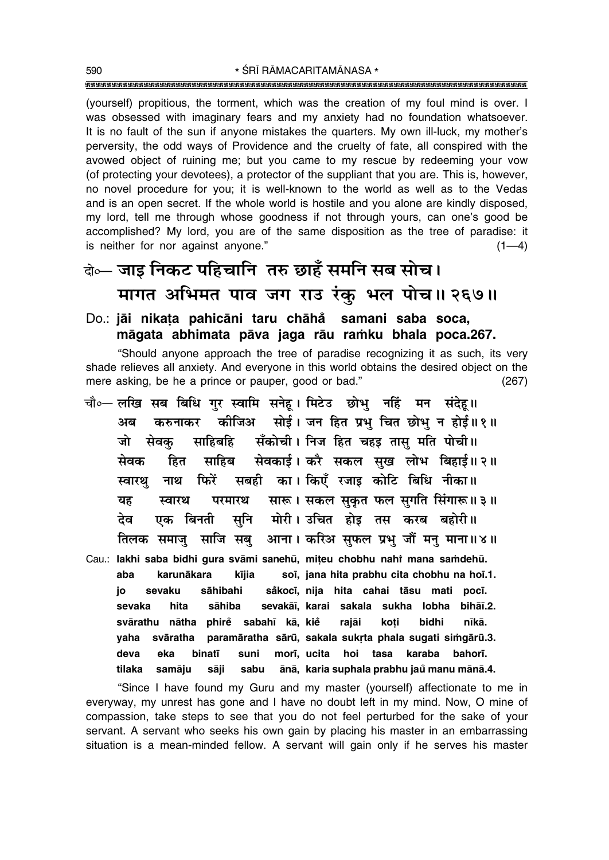(yourself) propitious, the torment, which was the creation of my foul mind is over. I was obsessed with imaginary fears and my anxiety had no foundation whatsoever. It is no fault of the sun if anyone mistakes the quarters. My own ill-luck, my mother's perversity, the odd ways of Providence and the cruelty of fate, all conspired with the avowed object of ruining me; but you came to my rescue by redeeming your yow (of protecting your devotees), a protector of the suppliant that you are. This is, however, no novel procedure for you; it is well-known to the world as well as to the Vedas and is an open secret. If the whole world is hostile and you alone are kindly disposed, my lord, tell me through whose goodness if not through yours, can one's good be accomplished? My lord, you are of the same disposition as the tree of paradise: it is neither for nor against anyone."  $(1-4)$ 

# के— जाइ निकट पहिचानि तरु छाहँ समनि सब सोच। मागत अभिमत पाव जग राउ रंकु भल पोच॥ २६७॥

### Do.: jāi nikata pahicāni taru chāhå samani saba soca, māgata abhimata pāva jaga rāu ramku bhala poca.267.

"Should anyone approach the tree of paradise recognizing it as such, its very shade relieves all anxiety. And everyone in this world obtains the desired object on the mere asking, be he a prince or pauper, good or bad."  $(267)$ 

चौ∘— लखि सब बिधि गुर स्वामि सनेह। मिटेउ छोभु नहिं मन संदेह॥ कीजिअ सोई। जन हित प्रभु चित छोभु न होई॥१॥ करुनाकर अब सँकोची। निज हित चहड़ तासु मति पोची॥ जो सेवक साहिबहि सेवकाई। करै सकल सुख लोभ बिहाई॥२॥ हित साहिब सेवक सबही का। किएँ रजाइ कोटि बिधि नीका॥ फिरें नाथ स्वारथ सारू। सकल सुकृत फल सुगति सिंगारू॥३॥ यह स्वारथ परमारथ मोरी। उचित होइ तस करब बहोरी॥ एक बिनती सनि देव आना। करिअ सुफल प्रभु जौं मनु माना॥४॥ तिलक समाज साजि सब Cau.: lakhi saba bidhi qura svāmi sanehū, miteu chobhu nahi mana samdehū. aba karunākara kījia soī, jana hita prabhu cita chobhu na hoī.1. io sevaku sāhibahi såkocī, nija hita cahai tāsu mati pocī. sāhiba sevakāi, karai sakala sukha lobha bihāi.2. sevaka hita svārathu nātha phirė sabahī kā, kie rajāi koti bidhi nīkā. svāratha paramāratha sārū, sakala sukrta phala sugati simgārū.3. yaha morī, ucita hoi tasa karaba deva eka binatī suni bahorī. ānā, karia suphala prabhu jaŭ manu mānā.4. tilaka samāju sāji sabu

"Since I have found my Guru and my master (yourself) affectionate to me in everyway, my unrest has gone and I have no doubt left in my mind. Now, O mine of compassion, take steps to see that you do not feel perturbed for the sake of your servant. A servant who seeks his own gain by placing his master in an embarrassing situation is a mean-minded fellow. A servant will gain only if he serves his master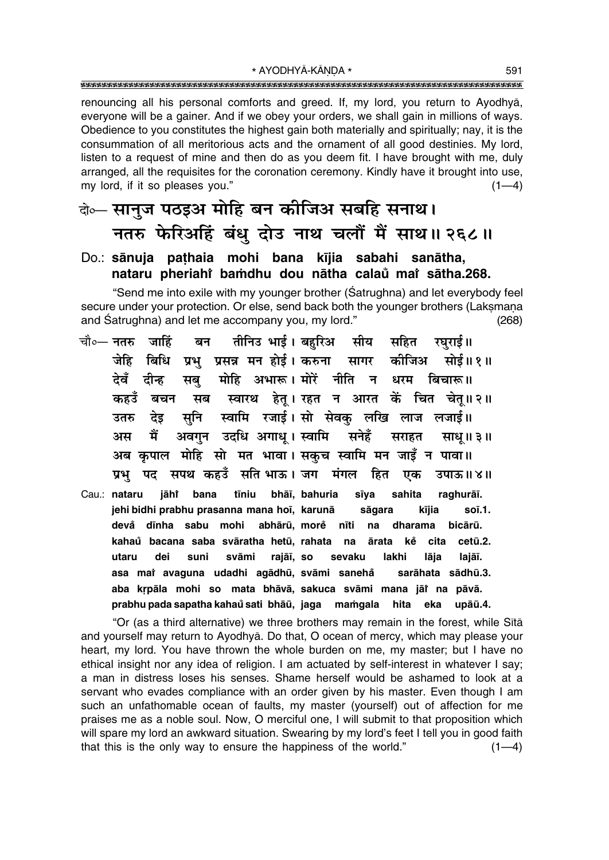\* AYODHYĀ-KĀNDA \* 

renouncing all his personal comforts and greed. If, my lord, you return to Ayodhya, everyone will be a gainer. And if we obey your orders, we shall gain in millions of ways. Obedience to you constitutes the highest gain both materially and spiritually; nay, it is the consummation of all meritorious acts and the ornament of all good destinies. My lord, listen to a request of mine and then do as you deem fit. I have brought with me, duly arranged, all the requisites for the coronation ceremony. Kindly have it brought into use, my lord, if it so pleases you."  $(1-4)$ 

### वेञ्- सानुज पठइअ मोहि बन कीजिअ सबहि सनाथ। नतरु फेरिअहिं बंधु दोउ नाथ चलौं मैं साथ॥ २६८॥

#### Do.: sānuja pathaia mohi bana kījia sabahi sanātha, nataru pheriahi bamdhu dou nātha calaŭ mai sātha.268.

"Send me into exile with my younger brother (Satrughna) and let everybody feel secure under your protection. Or else, send back both the younger brothers (Laksmana and Satrughna) and let me accompany you, my lord."  $(268)$ 

- तीनिउ भाई । बहरिअ सीय सहित चौ०— नतरु जाहिं बन रघराई॥ बिधि प्रभु प्रसन्न मन होई। करुना सागर जेहि कोजिअ सोई॥ १॥ देवँ दीन्न सब मोहि अभारू। मोरें नीति न धरम बिचारू॥ सब स्वारथ हेतू। रहत न आरत कें चित चेतू॥२॥ कहउँ बचन स्वामि रजाई। सो सेवक् लखि लाज लजाई॥ सनि उतरु देड अवगन उदधि अगाध् । स्वामि सनेहँ अस मैं सराहत साध॥३॥ अब कृपाल मोहि सो मत भावा। सकुच स्वामि मन जाइँ न पावा॥ प्रभु पद सपथ कहउँ सति भाऊ। जग मंगल हित एक उपाऊ॥४॥
- Cau.: nataru sahita jāhi bana tīniu bhāī, bahuria sīva raghurāī. jehi bidhi prabhu prasanna mana hoi, karunā sāgara kījia soī.1. devå dīnha sabu mohi abhārū. more nīti na dharama bicārū. kahaŭ bacana saba svāratha hetū, rahata na ārata ke cita cetū.2. suni utaru dei svāmi rajāī, so sevaku lakhi lāja lajāī. asa mai avaguna udadhi agādhū, svāmi sanehå sarāhata sādhū.3. aba krpāla mohi so mata bhāvā, sakuca svāmi mana jāt na pāvā. prabhu pada sapatha kahaŭ sati bhāū, jaga mamgala hita eka upāū.4.

"Or (as a third alternative) we three brothers may remain in the forest, while Sītā and yourself may return to Ayodhya. Do that, O ocean of mercy, which may please your heart, my lord. You have thrown the whole burden on me, my master; but I have no ethical insight nor any idea of religion. I am actuated by self-interest in whatever I say; a man in distress loses his senses. Shame herself would be ashamed to look at a servant who evades compliance with an order given by his master. Even though I am such an unfathomable ocean of faults, my master (yourself) out of affection for me praises me as a noble soul. Now, O merciful one, I will submit to that proposition which will spare my lord an awkward situation. Swearing by my lord's feet I tell you in good faith that this is the only way to ensure the happiness of the world."  $(1-4)$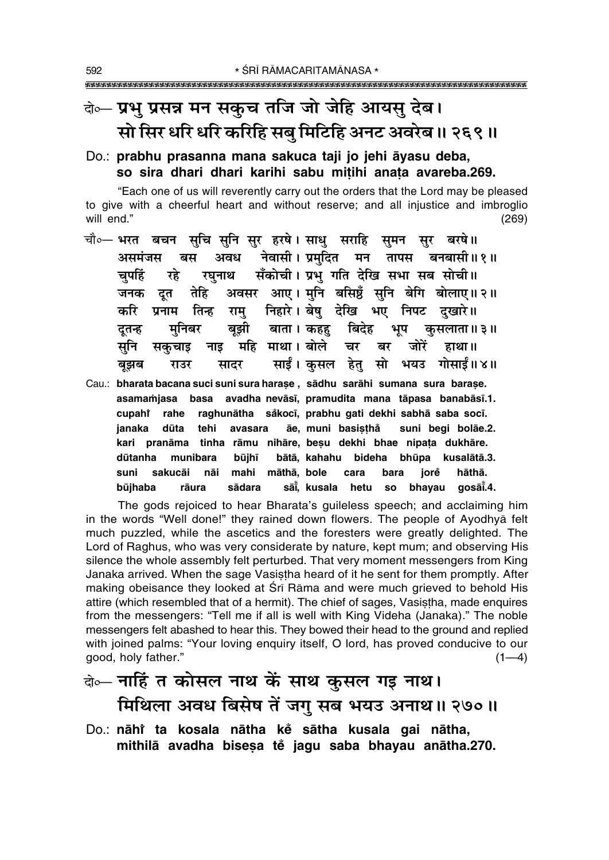# बेञ्च् प्रभु प्रसन्न मन सकुच तजि जो जेहि आयसु देब। सो सिर धरि धरि करिहि सब मिटिहि अनट अवरेब ॥ २६९ ॥

#### Do.: prabhu prasanna mana sakuca taji jo jehi āyasu deba, so sira dhari dhari karihi sabu mitihi anata avareba.269.

"Each one of us will reverently carry out the orders that the Lord may be pleased to give with a cheerful heart and without reserve; and all injustice and imbroglio will end."  $(269)$ 

- चौ०— भरत बचन सुचि सुनि सुर हरषे। साधु सराहि सुमन सुर बरषे॥ नेवासी। प्रमुदित मन तापस बनबासी॥१॥ असमंजस बस अवध सँकोची। प्रभ गति देखि सभा सब सोची॥ चपहिं रहे रघनाथ अवसर आए। मनि बसिष्ठँ सनि बेगि बोलाए॥२॥ जनक दत तेहि रामु निहारे। बेषु देखि भए निपट दुखारे॥ करि प्रनाम तिन्ह बाता । कहह मनिबर बझी बिदेह भूप कसलाता ॥ ३ ॥ दतन्ह महि माथा। बोले सुनि जोरें नाड चर बर हाथा ॥ सकचाड साईं। कुसल हेतु सो भयउ गोसाईं॥४॥ सादर बुझब राउर
- Cau.: bharata bacana suci suni sura harase, sādhu sarāhi sumana sura barase. asamamjasa basa avadha nevāsī, pramudita mana tāpasa banabāsī.1. raghunātha såkocī, prabhu gati dekhi sabhā saba socī. cupahi rahe āe, muni basisthå janaka dūta tehi suni begi bolāe.2. avasara kari pranāma tinha rāmu nihāre, beșu dekhi bhae nipața dukhāre. bātā, kahahu bideha bhūpa dūtanha munibara kusalātā.3. būjhī māthā. bole sakucāi mahi suni nāi cara bara iorě hāthā. būjhaba sādara sāi̇̃. kusala gosāī.4. rāura hetu **SO** bhayau

The gods rejoiced to hear Bharata's guileless speech; and acclaiming him in the words "Well done!" they rained down flowers. The people of Ayodhya felt much puzzled, while the ascetics and the foresters were greatly delighted. The Lord of Raghus, who was very considerate by nature, kept mum; and observing His silence the whole assembly felt perturbed. That very moment messengers from King Janaka arrived. When the sage Vasistha heard of it he sent for them promptly. After making obeisance they looked at Sri Rama and were much grieved to behold His attire (which resembled that of a hermit). The chief of sages, Vasistha, made enquires from the messengers: "Tell me if all is well with King Videha (Janaka)." The noble messengers felt abashed to hear this. They bowed their head to the ground and replied with joined palms: "Your loving enquiry itself, O lord, has proved conducive to our good, holy father."  $(1-4)$ 

- बे— नाहिं त कोसल नाथ कें साथ कुसल गड़ नाथ। मिथिला अवध बिसेष तें जगु सब भयउ अनाथ॥ २७०॥
- Do.: nāhi ta kosala nātha ke sātha kusala gai nātha, mithilā avadha bisesa te jagu saba bhayau anātha.270.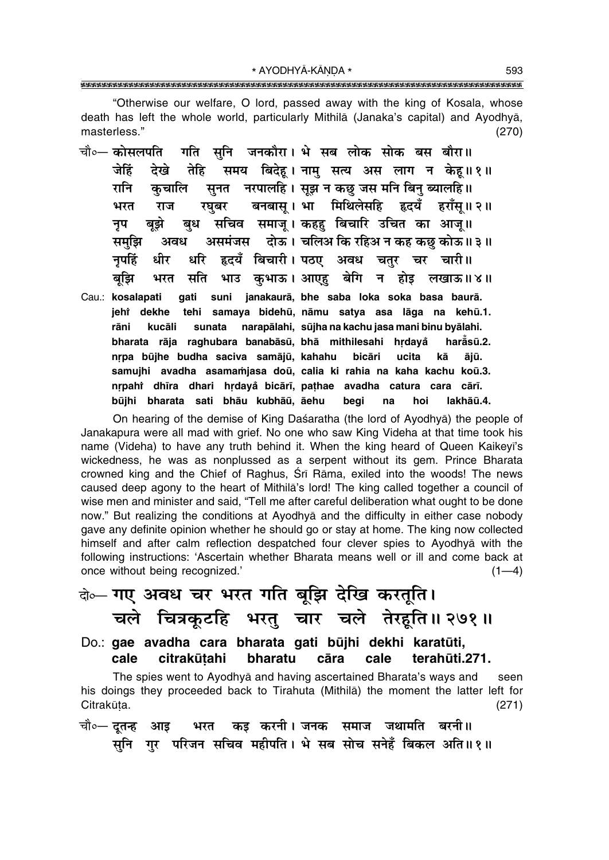\* AYODHYĀ-KĀNDA \* 

"Otherwise our welfare, O lord, passed away with the king of Kosala, whose death has left the whole world, particularly Mithila (Janaka's capital) and Ayodhya, masterless."  $(270)$ 

- गति सुनि जनकौरा। भे सब लोक सोक बस बौरा॥ चौ०— कोसलपति तेहि समय बिदेह। नाम् सत्य अस लाग न केह॥१॥ देखे जेहिं सुनत जरपालहि । सुझ न कछ जस मनि बिन् ब्यालहि ॥ रानि कुचालि रघबर बनबास् । भा मिथिलेसहि हृदयँ हराँस् ॥ २ ॥ भरत राज बुध सचिव समाज् । कहह बिचारि उचित का आज् ॥ बझे नुप असमंजस वोऊ। चलिअ कि रहिअ न कह कछ कोऊ॥३॥ समझि अवध धरि हृदयँ बिचारी। पठए अवध चतर चर चारी॥ नपहिं धीर भरत सति भाउ कुभाऊ।अाएहु बेगि न होइ लखाऊ॥४॥ बझि
- gati suni janakaurā bhe saba loka soka basa baurā. Cau.: kosalapati jehř dekhe tehi samaya bidehū, nāmu satya asa lāga na kehū.1. narapālahi, sūjha na kachu jasa mani binu byālahi. rāni kucāli sunata bharata rāja raghubara banabāsū, bhā mithilesahi hrdaya haråsū.2. nrpa būjhe budha saciva samājū, kahahu bicāri ucita kā ājū. samujhi avadha asamamjasa doū, calia ki rahia na kaha kachu koū.3. nrpahi dhīra dhari hrdayå bicārī, pathae avadha catura cara cārī. būjhi bharata sati bhāu kubhāū, āehu begi na hoi lakhāū.4.

On hearing of the demise of King Daśaratha (the lord of Ayodhya) the people of Janakapura were all mad with grief. No one who saw King Videha at that time took his name (Videha) to have any truth behind it. When the king heard of Queen Kaikeyi's wickedness, he was as nonplussed as a serpent without its gem. Prince Bharata crowned king and the Chief of Raghus, Sri Rama, exiled into the woods! The news caused deep agony to the heart of Mithila's lord! The king called together a council of wise men and minister and said, "Tell me after careful deliberation what ought to be done now." But realizing the conditions at Ayodhya and the difficulty in either case nobody gave any definite opinion whether he should go or stay at home. The king now collected himself and after calm reflection despatched four clever spies to Ayodhya with the following instructions: 'Ascertain whether Bharata means well or ill and come back at once without being recognized.'  $(1-4)$ 

बे-गए अवध चर भरत गति बूझि देखि करतूति। चले चित्रकूटहि भरतु चार चले तेरहुति॥ २७१॥

Do.: gae avadha cara bharata gati būjhi dekhi karatūti, citrakūtahi bharatu cāra cale terahūti.271. cale

The spies went to Ayodhya and having ascertained Bharata's ways and seen his doings they proceeded back to Tirahuta (Mithila) the moment the latter left for Citrakūta.  $(271)$ 

भरत कइ करनी। जनक समाज जथामति बरनी॥ चौ०— दुतन्ह आइ सुनि गुर परिजन सचिव महीपति। भे सब सोच सनेहँ बिकल अति॥१॥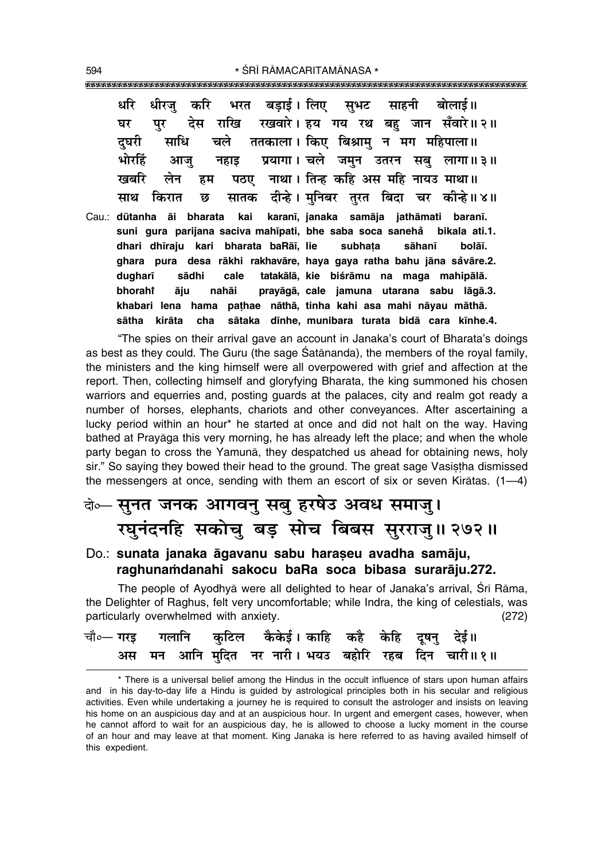धरि धीरज बडाई । लिए साहनी बोलाई॥ करि भरत सभट पर देस राखि रखवारे। हय गय रथ बह जान सँवारे॥२॥ घर ततकाला। किए बिश्राम् न मग महिपाला॥ चले दघरी साधि भोरहिं प्रयागा। चले जमन उतरन सब लागा॥३॥ नहाड आज नाथा। तिन्ह कहि अस महि नायउ माथा॥ खबरि लेन हम पठए दीन्हे। मुनिबर तुरत बिदा चर कीन्हे॥४॥ सातक साथ किरात छ kai karanī, janaka samāja jathāmati baranī. Cau.: dūtanha āi bharata suni gura parijana saciva mahīpati, bhe saba soca sanehå bikala ati.1. dhari dhīraju kari bharata baRāī, lie subhata sāhanī bolāī. ghara pura desa rākhi rakhavāre, haya gaya ratha bahu jāna sāvāre.2. dugharī sādhi cale tatakālā, kie biśrāmu na maga mahipālā. bhorahi āju nahāi prayāgā, cale jamuna utarana sabu lāgā.3. khabari lena hama pathae nāthā, tinha kahi asa mahi nāyau māthā. sātaka dīnhe, munibara turata bidā cara kīnhe.4. sātha kirāta cha

"The spies on their arrival gave an account in Janaka's court of Bharata's doings as best as they could. The Guru (the sage Satananda), the members of the royal family, the ministers and the king himself were all overpowered with grief and affection at the report. Then, collecting himself and gloryfying Bharata, the king summoned his chosen warriors and equerries and, posting quards at the palaces, city and realm got ready a number of horses, elephants, chariots and other conveyances. After ascertaining a lucky period within an hour\* he started at once and did not halt on the way. Having bathed at Pravāga this very morning, he has already left the place; and when the whole party began to cross the Yamuna, they despatched us ahead for obtaining news, holy sir." So saying they bowed their head to the ground. The great sage Vasistha dismissed the messengers at once, sending with them an escort of six or seven Kiratas.  $(1-4)$ 

## वेञ्- सुनत जनक आगवनु सबु हरषेउ अवध समाजु। रघुनंदनहि सकोचु बड़ सोच बिबस सुरराजु॥ २७२॥

#### Do.: sunata janaka āgavanu sabu harașeu avadha samāju, raghunamdanahi sakocu baRa soca bibasa surarāju.272.

The people of Ayodhya were all delighted to hear of Janaka's arrival, Srī Rāma, the Delighter of Raghus, felt very uncomfortable; while Indra, the king of celestials, was particularly overwhelmed with anxiety.  $(272)$ 

|  | चौ∘— गरइ    गलानि     कुटिल    कैकेई । काहि    कहै    केहि    दूषनु    देई॥ |  |  |
|--|-----------------------------------------------------------------------------|--|--|
|  | अस मन आनि मुदित नर नारी। भयउ बहोरि रहब दिन चारी॥१॥                          |  |  |

\* There is a universal belief among the Hindus in the occult influence of stars upon human affairs and in his day-to-day life a Hindu is guided by astrological principles both in his secular and religious activities. Even while undertaking a journey he is required to consult the astrologer and insists on leaving his home on an auspicious day and at an auspicious hour. In urgent and emergent cases, however, when he cannot afford to wait for an auspicious day, he is allowed to choose a lucky moment in the course of an hour and may leave at that moment. King Janaka is here referred to as having availed himself of this expedient.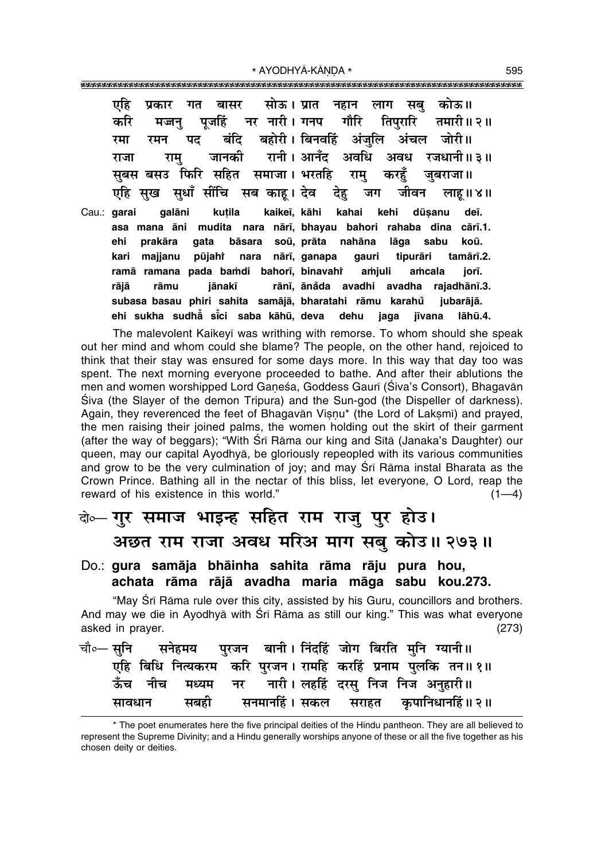\* AYODHYĀ-KĀNDA \*

एहि बासर सोऊ। प्रात नहान सब कोऊ॥ प्रकार गत लाग पजहिं नर नारी। गनप गौरि करि तिपरारि मजन तमारी॥ २॥ बंदि बहोरी। बिनवहिं अंजलि अंचल पट जोरी॥ रमन रमा रानी । आनँद अवधि जानकी अवध रजधानी॥ ३॥ राजा राम सबस बसउ फिरि सहित समाजा। भरतहि राम करहँ जबराजा॥ सख सधाँ सींचि सब काह। देव एहि देह जग जीवन लाह।।४॥ qalāni kutila kaikeī, kāhi deī. Cau.: qarai kahai kehi dūsanu asa mana āni mudita nara nārī, bhayau bahori rahaba dina cārī.1. ehi prakāra qata bāsara soū, prāta nahāna lāga sabu koū. kari majjanu pūjaht nara nārī, ganapa qauri tipurāri tamārī.2. ramā ramana pada bamdi bahorī, binavahī amjuli amcala iorī. rānī, ānåda avadhi avadha rajadhānī.3. rāiā rāmu iānakī subasa basau phiri sahita samājā, bharatahi rāmu karahů jubarājā. ehi sukha sudhå sici saba kāhū, deva dehu jaga iīvana lāhū.4.

The malevolent Kaikeyī was writhing with remorse. To whom should she speak out her mind and whom could she blame? The people, on the other hand, rejoiced to think that their stay was ensured for some days more. In this way that day too was spent. The next morning everyone proceeded to bathe. And after their ablutions the men and women worshipped Lord Ganeśa, Goddess Gaurī (Śiva's Consort), Bhagavān Siva (the Slayer of the demon Tripura) and the Sun-god (the Dispeller of darkness). Again, they reverenced the feet of Bhagavan Visnu\* (the Lord of Laksmi) and prayed, the men raising their joined palms, the women holding out the skirt of their garment (after the way of beggars); "With Sri Rama our king and Sita (Janaka's Daughter) our queen, may our capital Ayodhyā, be gloriously repeopled with its various communities and grow to be the very culmination of joy; and may Srī Rāma instal Bharata as the Crown Prince. Bathing all in the nectar of this bliss, let everyone, O Lord, reap the reward of his existence in this world."  $(1-4)$ 

### के— गुर समाज भाइन्ह सहित राम राजु पुर होउ। अछत राम राजा अवध मरिअ माग सबु कोउ॥ २७३॥

#### Do.: gura samāja bhāinha sahita rāma rāju pura hou, achata rāma rājā avadha maria māga sabu kou.273.

"May Srī Rāma rule over this city, assisted by his Guru, councillors and brothers. And may we die in Ayodhyā with Śrī Rāma as still our king." This was what everyone asked in prayer.  $(273)$ 

|        |  |  | एहि बिधि नित्यकरम  करि पुरजन। रामहि  करहिं  प्रनाम  पुलकि  तन॥ १॥ |
|--------|--|--|-------------------------------------------------------------------|
|        |  |  | ऊँच नीच मध्यम नर नारी।लहहिं दरसु निज निज अनुहारी॥                 |
| सावधान |  |  | सबही सनमानहिं। सकल सराहत कृपानिधानहिं॥२॥                          |

<sup>\*</sup> The poet enumerates here the five principal deities of the Hindu pantheon. They are all believed to represent the Supreme Divinity; and a Hindu generally worships anyone of these or all the five together as his chosen deity or deities.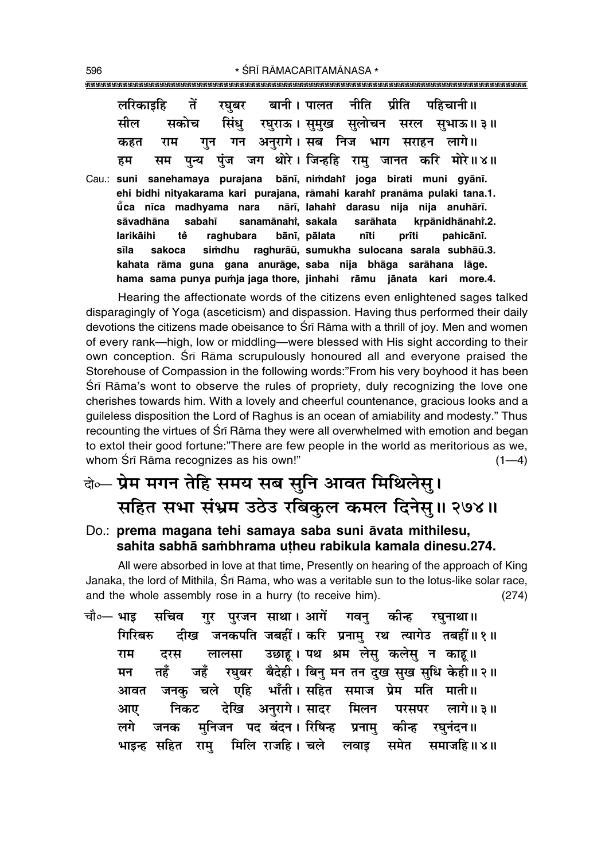| लरिकाइहि तें                                    | रघुबर बानी। पालत नीति प्रीति पहिचानी॥                                                                                                             |
|-------------------------------------------------|---------------------------------------------------------------------------------------------------------------------------------------------------|
| सील<br>सकोच                                     | सिंधु रघुराऊ। सुमुख सुलोचन सरल सुभाऊ॥३॥                                                                                                           |
| राम<br>कहत                                      | गुन गन अनुरागे। सब निज भाग सराहन लागे॥                                                                                                            |
| सम<br>हम                                        | पुन्य पुंज जग थोरे।जिन्हहि रामु जानत करि मोरे॥४॥                                                                                                  |
|                                                 | Cau.: suni sanehamaya purajana bānī, nimdahi joga birati muni gyānī.<br>ehi bidhi nityakarama kari purajana, rāmahi karahi pranāma pulaki tana.1. |
|                                                 | ŭca nīca madhyama nara  nārī, lahahi darasu nija nija anuhārī.                                                                                    |
| sabahī sanamānahi, sakala sarāhata<br>sāvadhāna | krpānidhānahr.2.                                                                                                                                  |
| larikāihi<br>tě<br>raghubara                    | pahicānī.<br>bānī, pālata nīti<br>prīti                                                                                                           |
| sakoca<br>sīla                                  | simdhu raghurāū, sumukha sulocana sarala subhāū.3.                                                                                                |

**kahata råma guna gana anuråge, saba nija bhåga saråhana låge. hama sama punya pu≈ja jaga thore, jinhahi råmu jånata kari more.4.**

Hearing the affectionate words of the citizens even enlightened sages talked disparagingly of Yoga (asceticism) and dispassion. Having thus performed their daily devotions the citizens made obeisance to Śrī Rāma with a thrill of joy. Men and women of every rank—high, low or middling—were blessed with His sight according to their own conception. Srī Rāma scrupulously honoured all and everyone praised the Storehouse of Compassion in the following words:"From his very boyhood it has been Srī Rāma's wont to observe the rules of propriety, duly recognizing the love one cherishes towards him. With a lovely and cheerful countenance, gracious looks and a guileless disposition the Lord of Raghus is an ocean of amiability and modesty." Thus recounting the virtues of Śrī Rāma they were all overwhelmed with emotion and began to extol their good fortune: "There are few people in the world as meritorious as we, whom  $\text{Sr}$  Rāma recognizes as his own!" (1—4)

### बे**०– प्रेम मगन तेहि समय सब सुनि आवत मिथिलेसु।** सहित सभा संभ्रम उठेउ रबिकुल कमल दिनेसु॥ २७४॥

#### Do.: **prema magana tehi samaya saba suni åvata mithilesu, sahita sabhå sa≈bhrama u¢heu rabikula kamala dinesu.274.**

All were absorbed in love at that time, Presently on hearing of the approach of King Janaka, the lord of Mithilā, Śrī Rāma, who was a veritable sun to the lotus-like solar race, and the whole assembly rose in a hurry (to receive him). (274)

चौ०— **भाइ सचिव गुर पुरजन साथा। आगें गवनु कीन्ह रघुनाथा॥** गिरिबरु दीख जनकपति जबहीं। करि प्रनामु रथ त्यागेउ तबहीं॥१॥ **राम दरस लालसा उछाहू।** पथ श्रम लेसु कलेसु न काहू॥ **मन तहँ जहँ रघुबर बैदेही। बिनु मन तन दुख सुख सुधि केही॥२॥** <u>आवत जनक चले एहि भाँती। सहित समाज प्रेम मति माती॥</u> **•Ê∞ ÁŸ∑§≈U ŒÁπ •ŸÈ⁄Uʪ – 'ÊŒ⁄U Á◊‹Ÿ ¬⁄U'¬⁄U ‹ÊªH.3H** लगे जनक मुनिजन पद बंदन।**सिषिन्ह प्रनामु कीन्ह रघुनंदन**॥ **भाइन्ह सहित राम् मिलि राजहि। चले लवाइ समेत समाजहि॥४॥**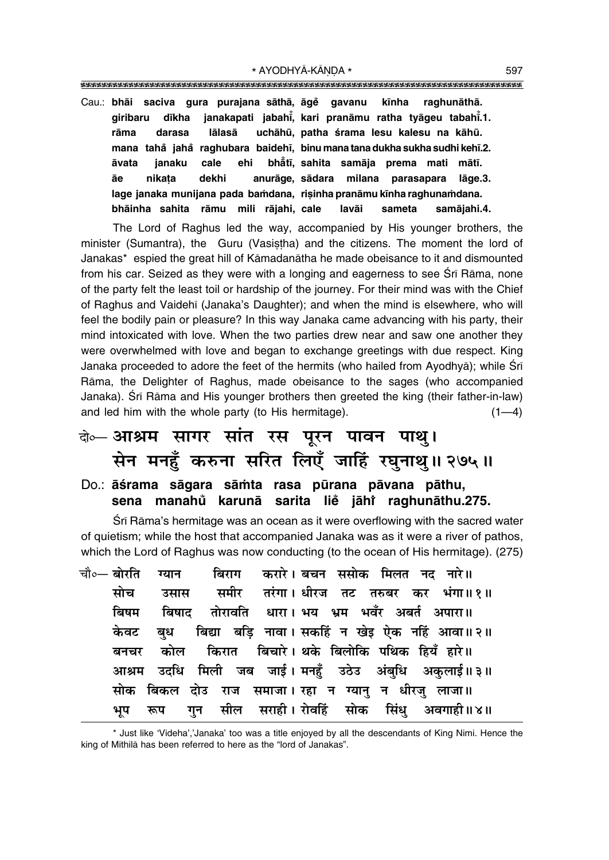|       |        |        |       |  |  |  | Cau.: bhāi saciva gura purajana sāthā, āgě gavanu kīnha raghunāthā.       |  |  |             |
|-------|--------|--------|-------|--|--|--|---------------------------------------------------------------------------|--|--|-------------|
|       |        |        |       |  |  |  | giribaru dīkha janakapati jabahī, kari pranāmu ratha tyāgeu tabahī.1.     |  |  |             |
| rāma  |        | darasa |       |  |  |  | lālasā uchāhū, patha śrama lesu kalesu na kāhū.                           |  |  |             |
|       |        |        |       |  |  |  | mana tahå jahå raghubara baidehī, binu manatana dukha sukha sudhi kehī.2. |  |  |             |
| āvata |        |        |       |  |  |  | janaku cale ehi bhåtī, sahita samāja prema mati mātī.                     |  |  |             |
| āе    | nikata |        | dekhi |  |  |  | anurāge, sādara milana parasapara lāge.3.                                 |  |  |             |
|       |        |        |       |  |  |  | lage janaka munijana pada bamdana, risinha pranāmu kīnha raghunamdana.    |  |  |             |
|       |        |        |       |  |  |  | bhāinha sahita rāmu mili rājahi, cale lavāi sameta                        |  |  | samājahi.4. |

The Lord of Raghus led the way, accompanied by His younger brothers, the minister (Sumantra), the Guru (Vasistha) and the citizens. The moment the lord of Janakas\* espied the great hill of Kāmadanātha he made obeisance to it and dismounted from his car. Seized as they were with a longing and eagerness to see Srī Rāma, none of the party felt the least toil or hardship of the journey. For their mind was with the Chief of Raghus and Vaidehī (Janaka's Daughter); and when the mind is elsewhere, who will feel the bodily pain or pleasure? In this way Janaka came advancing with his party, their mind intoxicated with love. When the two parties drew near and saw one another they were overwhelmed with love and began to exchange greetings with due respect. King Janaka proceeded to adore the feet of the hermits (who hailed from Ayodhyā); while Srī Rāma, the Delighter of Raghus, made obeisance to the sages (who accompanied Janaka). Śrī Rāma and His younger brothers then greeted the king (their father-in-law) and led him with the whole party (to His hermitage).  $(1-4)$ 

### बे⊶ आश्रम सागर सांत रस पूरन पावन पाथु। सेन मनहुँ करुना सरित लिएँ जाहिँ रघुनाथु॥ २७५॥

#### Do.: āśrama sāgara sāmta rasa pūrana pāvana pāthu, sena manahů karunā sarita liě jāhř raghunāthu.275.

Srī Rāma's hermitage was an ocean as it were overflowing with the sacred water of quietism; while the host that accompanied Janaka was as it were a river of pathos, which the Lord of Raghus was now conducting (to the ocean of His hermitage). (275)

चौ०— बोरति करारे। बचन ससोक मिलत नद नारे॥ बिराग ग्यान समीर तरंगा। धीरज तट तरुबर कर भंगा॥१॥ मोच उसास बिषम बिषाट तोरावति धारा। भय भ्रम भवँर अबर्त अपारा॥ बिद्या बडि नावा। सकहिं न खेड़ ऐक नहिं आवा॥२॥ केवट बध किरात विचारे। थके बिलोकि पथिक हियँ हारे॥ कोल बनचर मिली जब जाई। मनहुँ उठेउ अंबुधि अकुलाई॥३॥ आश्रम उदधि समाजा। रहा न ग्यान् न धीरज् लाजा॥ सोक बिकल दोउ राज सील सराही। रोवहिं सोक सिंध अवगाही॥४॥ भूप रूप गुन

\* Just like 'Videha','Janaka' too was a title enjoyed by all the descendants of King Nimi. Hence the king of Mithila has been referred to here as the "lord of Janakas".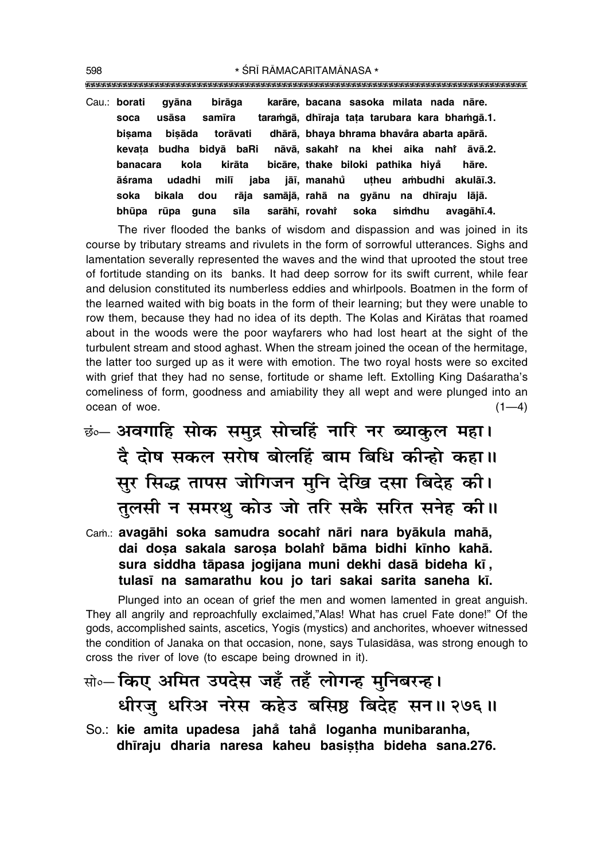karāre, bacana sasoka milata nada nāre. Cau.: borati gyāna birāga soca usāsa samīra taramgā, dhīraja tata tarubara kara bhamgā.1. dhārā, bhaya bhrama bhavåra abarta apārā. bisama bisāda torāvati kevata budha bidyā baRi nāvā, sakahi na khei aika nahi āvā.2. hanacara kola kirāta bicāre, thake biloki pathika hiyå hāre jaba āśrama udadhi milī jāī, manahů uțheu ambudhi akulāī.3. soka bikala dou samājā, rahā na gyānu na dhīraju lājā. rāja sarāhī, rovahř avagāhī.4. bhūpa rūpa guna sīla soka simdhu

The river flooded the banks of wisdom and dispassion and was joined in its course by tributary streams and rivulets in the form of sorrowful utterances. Sighs and lamentation severally represented the waves and the wind that uprooted the stout tree of fortitude standing on its banks. It had deep sorrow for its swift current, while fear and delusion constituted its numberless eddies and whirlpools. Boatmen in the form of the learned waited with big boats in the form of their learning; but they were unable to row them, because they had no idea of its depth. The Kolas and Kiratas that roamed about in the woods were the poor wayfarers who had lost heart at the sight of the turbulent stream and stood aghast. When the stream joined the ocean of the hermitage, the latter too surged up as it were with emotion. The two royal hosts were so excited with grief that they had no sense, fortitude or shame left. Extolling King Dasaratha's comeliness of form, goodness and amiability they all wept and were plunged into an ocean of woe.  $(1-4)$ 

छं— अवगाहि सोक समुद्र सोचहिं नारि नर ब्याकुल महा। दै दोष सकल सरोष बोलहिं बाम बिधि कीन्हो कहा।। सुर सिद्ध तापस जोगिजन मुनि देखि दसा बिदेह की। तुलसी न समरथु कोउ जो तरि सकै सरित सनेह की।।

Cam.: avagāhi soka samudra socahi nāri nara byākula mahā, dai dosa sakala sarosa bolahi bāma bidhi kīnho kahā. sura siddha tāpasa jogijana muni dekhi dasā bideha kī, tulasī na samarathu kou jo tari sakai sarita saneha kī.

Plunged into an ocean of grief the men and women lamented in great anguish. They all angrily and reproachfully exclaimed,"Alas! What has cruel Fate done!" Of the gods, accomplished saints, ascetics, Yogis (mystics) and anchorites, whoever witnessed the condition of Janaka on that occasion, none, says Tulasīdāsa, was strong enough to cross the river of love (to escape being drowned in it).

# सो०- किए अमित उपदेस जहँ तहँ लोगन्ह मुनिबरन्ह। धीरजु धरिअ नरेस कहेउ बसिष्ठ बिदेह सन॥ २७६॥

So.: kie amita upadesa jahå tahå loganha munibaranha, dhīraju dharia naresa kaheu basistha bideha sana.276.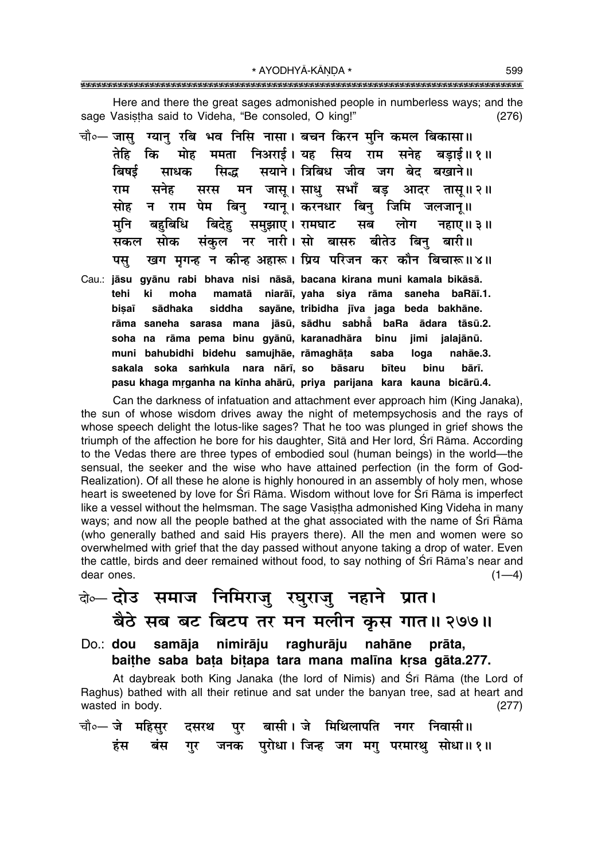Here and there the great sages admonished people in numberless ways; and the sage Vasistha said to Videha, "Be consoled, O king!"  $(276)$ 

- चौ∘— जासु ग्यान् रबि भव निसि नासा । बचन किरन मुनि कमल बिकासा॥ ममता निअराई। यह सिय राम सनेह तेहि कि मोह बडाई॥ १॥ बिषई सिद्ध सयाने। त्रिबिध जीव जग बेट बखाने॥ साधक मन जासू।साधु सभाँ बड़ आदर तासू॥२॥ राम सनेह सरस राम पेम बिन् ग्यान् । करनधार बिन् जिमि जलजान्॥ सोह न बहुबिधि बिदेह मनि समुझाए। रामघाट सब लोग नहाए।  $13$ ॥ संकल नर नारी।सो बासरु बीतेउ बिन सकल सोक बारी॥ खग मगन्ह न कीन्ह अहारू। प्रिय परिजन कर कौन बिचारू॥४॥ पस
- Cau.: jāsu gyānu rabi bhava nisi nāsā, bacana kirana muni kamala bikāsā. ki mamatā niarāi, vaha siya rāma saneha baRāi.1. tehi moha sayāne, tribidha jīva jaga beda bakhāne. bisaī sādhaka siddha rāma saneha sarasa mana jāsū, sādhu sabhā baRa ādara tāsū.2. soha na rāma pema binu qyānū, karanadhāra binu **iimi** ialaiānū. muni bahubidhi bidehu samuihāe, rāmaghāta nahāe.3. saba loga sakala soka samkula nara nārī, so bāsaru bīteu hinu hārī pasu khaga mrganha na kīnha ahārū, priya parijana kara kauna bicārū.4.

Can the darkness of infatuation and attachment ever approach him (King Janaka), the sun of whose wisdom drives away the night of metempsychosis and the rays of whose speech delight the lotus-like sages? That he too was plunged in grief shows the triumph of the affection he bore for his daughter, Sitā and Her lord, Śrī Rāma. According to the Vedas there are three types of embodied soul (human beings) in the world—the sensual, the seeker and the wise who have attained perfection (in the form of God-Realization). Of all these he alone is highly honoured in an assembly of holy men, whose heart is sweetened by love for Srī Rāma. Wisdom without love for Srī Rāma is imperfect like a vessel without the helmsman. The sage Vasistha admonished King Videha in many ways; and now all the people bathed at the ghat associated with the name of Srī Rāma (who generally bathed and said His prayers there). All the men and women were so overwhelmed with grief that the day passed without anyone taking a drop of water. Even the cattle, birds and deer remained without food, to say nothing of Srī Rāma's near and dear ones.  $(1-4)$ 

### के— दोउ समाज निमिराजु रघुराजु नहाने प्रात। बैठे सब बट बिटप तर मन मलीन कृस गात॥ २७७॥

Do.: dou samāja nimirāju raghurāju nahāne prāta. baithe saba bata bitapa tara mana malina krsa gāta.277.

At daybreak both King Janaka (the lord of Nimis) and Srī Rāma (the Lord of Raghus) bathed with all their retinue and sat under the banyan tree, sad at heart and wasted in body.  $(277)$ 

|  |  | चौ∘— जे महिसुर दसरथ पुर बासी।ञे मिथिलापति नगर निवासी॥ |                                                      |
|--|--|-------------------------------------------------------|------------------------------------------------------|
|  |  |                                                       | हंस बंस गुर जनक पुरोधा।।जिन्ह जग मगु परमारथु सोधा॥१॥ |